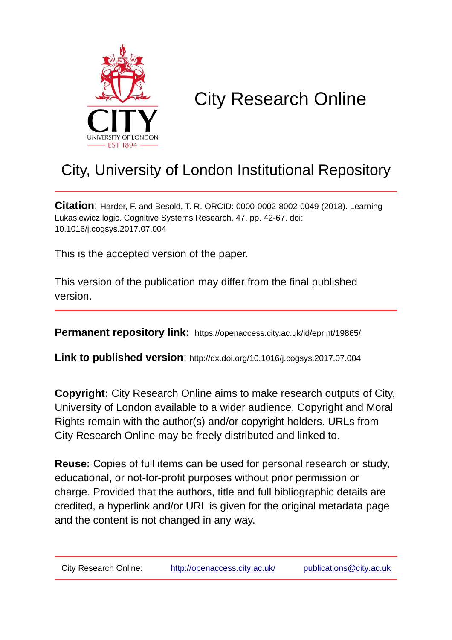

# City Research Online

# City, University of London Institutional Repository

**Citation**: Harder, F. and Besold, T. R. ORCID: 0000-0002-8002-0049 (2018). Learning Lukasiewicz logic. Cognitive Systems Research, 47, pp. 42-67. doi: 10.1016/j.cogsys.2017.07.004

This is the accepted version of the paper.

This version of the publication may differ from the final published version.

**Permanent repository link:** https://openaccess.city.ac.uk/id/eprint/19865/

**Link to published version**: http://dx.doi.org/10.1016/j.cogsys.2017.07.004

**Copyright:** City Research Online aims to make research outputs of City, University of London available to a wider audience. Copyright and Moral Rights remain with the author(s) and/or copyright holders. URLs from City Research Online may be freely distributed and linked to.

**Reuse:** Copies of full items can be used for personal research or study, educational, or not-for-profit purposes without prior permission or charge. Provided that the authors, title and full bibliographic details are credited, a hyperlink and/or URL is given for the original metadata page and the content is not changed in any way.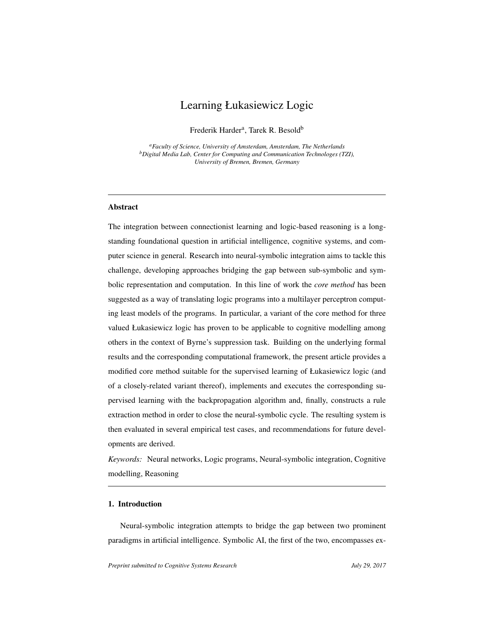# Learning Łukasiewicz Logic

Frederik Harder<sup>a</sup>, Tarek R. Besold<sup>b</sup>

*<sup>a</sup>Faculty of Science, University of Amsterdam, Amsterdam, The Netherlands <sup>b</sup>Digital Media Lab, Center for Computing and Communication Technologes (TZI), University of Bremen, Bremen, Germany*

## Abstract

The integration between connectionist learning and logic-based reasoning is a longstanding foundational question in artificial intelligence, cognitive systems, and computer science in general. Research into neural-symbolic integration aims to tackle this challenge, developing approaches bridging the gap between sub-symbolic and symbolic representation and computation. In this line of work the *core method* has been suggested as a way of translating logic programs into a multilayer perceptron computing least models of the programs. In particular, a variant of the core method for three valued Łukasiewicz logic has proven to be applicable to cognitive modelling among others in the context of Byrne's suppression task. Building on the underlying formal results and the corresponding computational framework, the present article provides a modified core method suitable for the supervised learning of Łukasiewicz logic (and of a closely-related variant thereof), implements and executes the corresponding supervised learning with the backpropagation algorithm and, finally, constructs a rule extraction method in order to close the neural-symbolic cycle. The resulting system is then evaluated in several empirical test cases, and recommendations for future developments are derived.

*Keywords:* Neural networks, Logic programs, Neural-symbolic integration, Cognitive modelling, Reasoning

### <span id="page-1-0"></span>1. Introduction

Neural-symbolic integration attempts to bridge the gap between two prominent paradigms in artificial intelligence. Symbolic AI, the first of the two, encompasses ex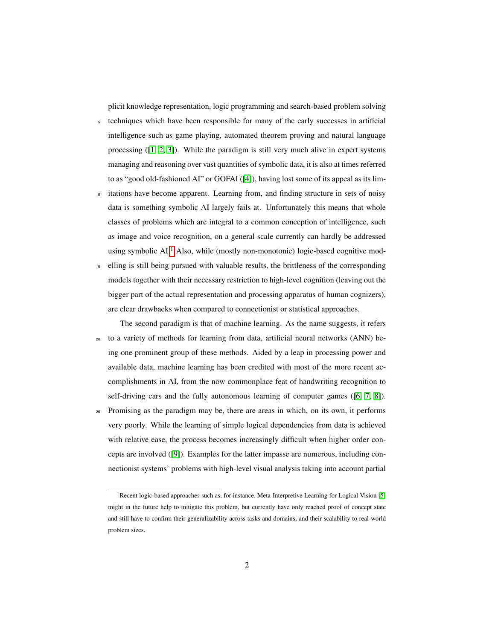plicit knowledge representation, logic programming and search-based problem solving

- <sup>5</sup> techniques which have been responsible for many of the early successes in artificial intelligence such as game playing, automated theorem proving and natural language processing ([\[1,](#page-41-0) [2,](#page-41-1) [3\]](#page-41-2)). While the paradigm is still very much alive in expert systems managing and reasoning over vast quantities of symbolic data, it is also at times referred to as "good old-fashioned AI" or GOFAI ([\[4\]](#page-41-3)), having lost some of its appeal as its lim-
- itations have become apparent. Learning from, and finding structure in sets of noisy data is something symbolic AI largely fails at. Unfortunately this means that whole classes of problems which are integral to a common conception of intelligence, such as image and voice recognition, on a general scale currently can hardly be addressed using symbolic  $AI<sup>1</sup>$  $AI<sup>1</sup>$  $AI<sup>1</sup>$  Also, while (mostly non-monotonic) logic-based cognitive mod-
- <sup>15</sup> elling is still being pursued with valuable results, the brittleness of the corresponding models together with their necessary restriction to high-level cognition (leaving out the bigger part of the actual representation and processing apparatus of human cognizers), are clear drawbacks when compared to connectionist or statistical approaches.
- The second paradigm is that of machine learning. As the name suggests, it refers <sup>20</sup> to a variety of methods for learning from data, artificial neural networks (ANN) being one prominent group of these methods. Aided by a leap in processing power and available data, machine learning has been credited with most of the more recent accomplishments in AI, from the now commonplace feat of handwriting recognition to self-driving cars and the fully autonomous learning of computer games ([\[6,](#page-41-4) [7,](#page-41-5) [8\]](#page-41-6)).
- <sup>25</sup> Promising as the paradigm may be, there are areas in which, on its own, it performs very poorly. While the learning of simple logical dependencies from data is achieved with relative ease, the process becomes increasingly difficult when higher order concepts are involved ([\[9\]](#page-41-7)). Examples for the latter impasse are numerous, including connectionist systems' problems with high-level visual analysis taking into account partial

<span id="page-2-0"></span><sup>&</sup>lt;sup>1</sup> Recent logic-based approaches such as, for instance, Meta-Interpretive Learning for Logical Vision [\[5\]](#page-41-8) might in the future help to mitigate this problem, but currently have only reached proof of concept state and still have to confirm their generalizability across tasks and domains, and their scalability to real-world problem sizes.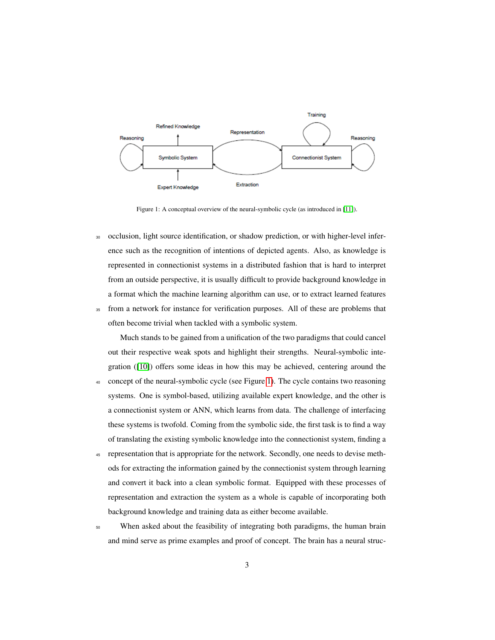<span id="page-3-0"></span>

Figure 1: A conceptual overview of the neural-symbolic cycle (as introduced in [\[11\]](#page-42-0)).

<sup>30</sup> occlusion, light source identification, or shadow prediction, or with higher-level inference such as the recognition of intentions of depicted agents. Also, as knowledge is represented in connectionist systems in a distributed fashion that is hard to interpret from an outside perspective, it is usually difficult to provide background knowledge in a format which the machine learning algorithm can use, or to extract learned features <sup>35</sup> from a network for instance for verification purposes. All of these are problems that often become trivial when tackled with a symbolic system.

Much stands to be gained from a unification of the two paradigms that could cancel out their respective weak spots and highlight their strengths. Neural-symbolic integration ([\[10\]](#page-42-1)) offers some ideas in how this may be achieved, centering around the

- <sup>40</sup> concept of the neural-symbolic cycle (see Figure [1\)](#page-3-0). The cycle contains two reasoning systems. One is symbol-based, utilizing available expert knowledge, and the other is a connectionist system or ANN, which learns from data. The challenge of interfacing these systems is twofold. Coming from the symbolic side, the first task is to find a way of translating the existing symbolic knowledge into the connectionist system, finding a
- <sup>45</sup> representation that is appropriate for the network. Secondly, one needs to devise methods for extracting the information gained by the connectionist system through learning and convert it back into a clean symbolic format. Equipped with these processes of representation and extraction the system as a whole is capable of incorporating both background knowledge and training data as either become available.
- <sup>50</sup> When asked about the feasibility of integrating both paradigms, the human brain and mind serve as prime examples and proof of concept. The brain has a neural struc-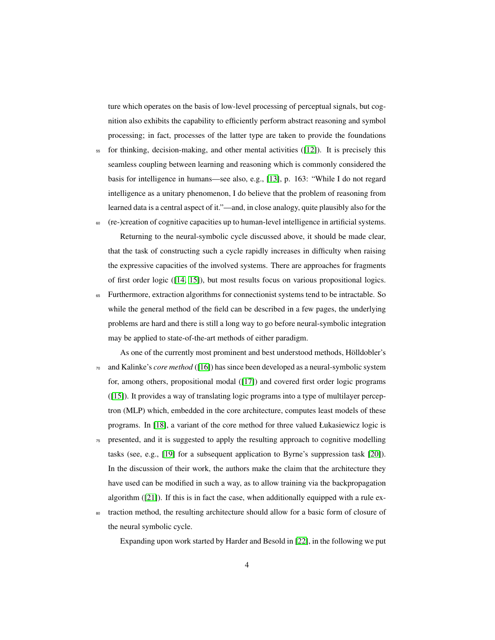ture which operates on the basis of low-level processing of perceptual signals, but cognition also exhibits the capability to efficiently perform abstract reasoning and symbol processing; in fact, processes of the latter type are taken to provide the foundations

<sup>55</sup> for thinking, decision-making, and other mental activities ([\[12\]](#page-42-2)). It is precisely this seamless coupling between learning and reasoning which is commonly considered the basis for intelligence in humans—see also, e.g., [\[13\]](#page-42-3), p. 163: "While I do not regard intelligence as a unitary phenomenon, I do believe that the problem of reasoning from learned data is a central aspect of it."—and, in close analogy, quite plausibly also for the

<sup>60</sup> (re-)creation of cognitive capacities up to human-level intelligence in artificial systems. Returning to the neural-symbolic cycle discussed above, it should be made clear,

that the task of constructing such a cycle rapidly increases in difficulty when raising the expressive capacities of the involved systems. There are approaches for fragments of first order logic ([\[14,](#page-42-4) [15\]](#page-42-5)), but most results focus on various propositional logics.

- <sup>65</sup> Furthermore, extraction algorithms for connectionist systems tend to be intractable. So while the general method of the field can be described in a few pages, the underlying problems are hard and there is still a long way to go before neural-symbolic integration may be applied to state-of-the-art methods of either paradigm.
- As one of the currently most prominent and best understood methods, Hölldobler's <sup>70</sup> and Kalinke's *core method* ([\[16\]](#page-42-6)) has since been developed as a neural-symbolic system for, among others, propositional modal ([\[17\]](#page-42-7)) and covered first order logic programs ([\[15\]](#page-42-5)). It provides a way of translating logic programs into a type of multilayer perceptron (MLP) which, embedded in the core architecture, computes least models of these programs. In [\[18\]](#page-42-8), a variant of the core method for three valued Łukasiewicz logic is
- <sup>75</sup> presented, and it is suggested to apply the resulting approach to cognitive modelling tasks (see, e.g., [\[19\]](#page-43-0) for a subsequent application to Byrne's suppression task [\[20\]](#page-43-1)). In the discussion of their work, the authors make the claim that the architecture they have used can be modified in such a way, as to allow training via the backpropagation algorithm ([\[21\]](#page-43-2)). If this is in fact the case, when additionally equipped with a rule ex-
- <sup>80</sup> traction method, the resulting architecture should allow for a basic form of closure of the neural symbolic cycle.

Expanding upon work started by Harder and Besold in [\[22\]](#page-43-3), in the following we put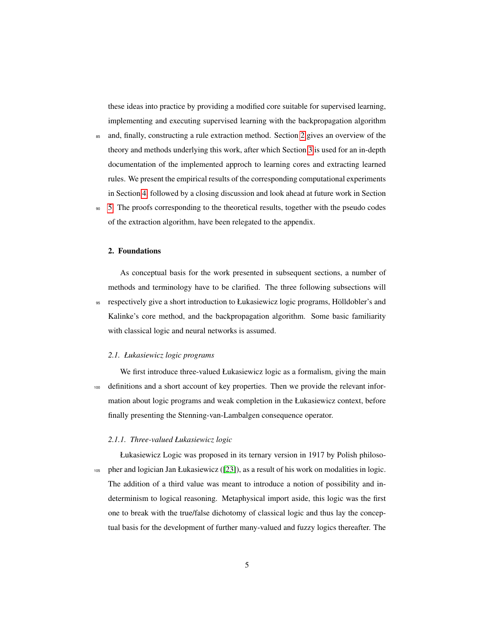these ideas into practice by providing a modified core suitable for supervised learning, implementing and executing supervised learning with the backpropagation algorithm

- <sup>85</sup> and, finally, constructing a rule extraction method. Section [2](#page-5-0) gives an overview of the theory and methods underlying this work, after which Section [3](#page-14-0) is used for an in-depth documentation of the implemented approch to learning cores and extracting learned rules. We present the empirical results of the corresponding computational experiments in Section [4,](#page-27-0) followed by a closing discussion and look ahead at future work in Section
- <sup>90</sup> [5.](#page-37-0) The proofs corresponding to the theoretical results, together with the pseudo codes of the extraction algorithm, have been relegated to the appendix.

## <span id="page-5-0"></span>2. Foundations

As conceptual basis for the work presented in subsequent sections, a number of methods and terminology have to be clarified. The three following subsections will 95 respectively give a short introduction to Łukasiewicz logic programs, Hölldobler's and Kalinke's core method, and the backpropagation algorithm. Some basic familiarity with classical logic and neural networks is assumed.

## *2.1. Łukasiewicz logic programs*

We first introduce three-valued Łukasiewicz logic as a formalism, giving the main <sup>100</sup> definitions and a short account of key properties. Then we provide the relevant information about logic programs and weak completion in the Łukasiewicz context, before finally presenting the Stenning-van-Lambalgen consequence operator.

## *2.1.1. Three-valued Łukasiewicz logic*

Łukasiewicz Logic was proposed in its ternary version in 1917 by Polish philoso-<sup>105</sup> pher and logician Jan Łukasiewicz ([\[23\]](#page-43-4)), as a result of his work on modalities in logic. The addition of a third value was meant to introduce a notion of possibility and indeterminism to logical reasoning. Metaphysical import aside, this logic was the first one to break with the true/false dichotomy of classical logic and thus lay the conceptual basis for the development of further many-valued and fuzzy logics thereafter. The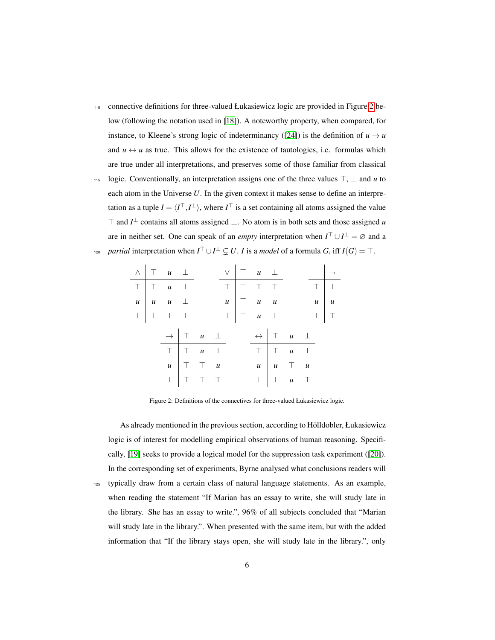- <sup>110</sup> connective definitions for three-valued Łukasiewicz logic are provided in Figure [2](#page-6-0) below (following the notation used in [\[18\]](#page-42-8)). A noteworthy property, when compared, for instance, to Kleene's strong logic of indeterminancy ([\[24\]](#page-43-5)) is the definition of  $u \rightarrow u$ and  $u \leftrightarrow u$  as true. This allows for the existence of tautologies, i.e. formulas which are true under all interpretations, and preserves some of those familiar from classical
- 115 logic. Conventionally, an interpretation assigns one of the three values  $\top$ ,  $\bot$  and *u* to each atom in the Universe *U*. In the given context it makes sense to define an interpretation as a tuple  $I = \langle I^{\top}, I^{\perp} \rangle$ , where  $I^{\top}$  is a set containing all atoms assigned the value ⊤ and  $I^{\perp}$  contains all atoms assigned  $\perp$ . No atom is in both sets and those assigned *u* are in neither set. One can speak of an *empty* interpretation when  $I^{\top} \cup I^{\perp} = \emptyset$  and a *partial* interpretation when  $I^{\top} \cup I^{\perp} \subsetneq U$ . *I* is a *model* of a formula *G*, iff  $I(G) = \top$ .

<span id="page-6-0"></span>

|  | $\wedge$ $\top$ $u$ $\bot$                                                                                                       |                                                                |  |  | $V$ $T$ $u$ $\perp$                                                                                                          |  |                                                                                  | $\vert - \vert$ |
|--|----------------------------------------------------------------------------------------------------------------------------------|----------------------------------------------------------------|--|--|------------------------------------------------------------------------------------------------------------------------------|--|----------------------------------------------------------------------------------|-----------------|
|  | $\begin{array}{c ccccc}\n\hline\n\top & \top & u & \bot \\ \hline\nu & u & u & \bot \\ \bot & \bot & \bot & \bot\n\end{array}$   |                                                                |  |  | $\begin{array}{c cccc}\n\hline\n\top & \top & \top & \top & \top \\ u & \top & u & u \\ \bot & \top & u & \bot\n\end{array}$ |  | $\begin{array}{c c}\n\hline\n\top & \perp \\ u & u \\ \perp & \top\n\end{array}$ |                 |
|  |                                                                                                                                  |                                                                |  |  |                                                                                                                              |  |                                                                                  |                 |
|  |                                                                                                                                  |                                                                |  |  |                                                                                                                              |  |                                                                                  |                 |
|  |                                                                                                                                  | $\rightarrow$ $\begin{array}{ccc} \top & u & \bot \end{array}$ |  |  | $\leftrightarrow$ $\begin{array}{ccc} \uparrow & u & \perp \end{array}$                                                      |  |                                                                                  |                 |
|  | $\begin{array}{c cccc}\n\hline\n\top & \top & u & \bot \\ \hline\nu & \top & \top & u \\ \bot & \top & \top & \top\n\end{array}$ |                                                                |  |  | $\begin{array}{c ccccc}\n\hline\n\top & \top & u & \bot \\ u & u & \top & u \\ \bot & \bot & u & \top\n\end{array}$          |  |                                                                                  |                 |
|  |                                                                                                                                  |                                                                |  |  |                                                                                                                              |  |                                                                                  |                 |
|  |                                                                                                                                  |                                                                |  |  |                                                                                                                              |  |                                                                                  |                 |

 $\overline{a}$ 

Figure 2: Definitions of the connectives for three-valued Łukasiewicz logic.

As already mentioned in the previous section, according to Hölldobler, Łukasiewicz logic is of interest for modelling empirical observations of human reasoning. Specifically, [\[19\]](#page-43-0) seeks to provide a logical model for the suppression task experiment ([\[20\]](#page-43-1)). In the corresponding set of experiments, Byrne analysed what conclusions readers will <sup>125</sup> typically draw from a certain class of natural language statements. As an example, when reading the statement "If Marian has an essay to write, she will study late in the library. She has an essay to write.", 96% of all subjects concluded that "Marian will study late in the library.". When presented with the same item, but with the added information that "If the library stays open, she will study late in the library.", only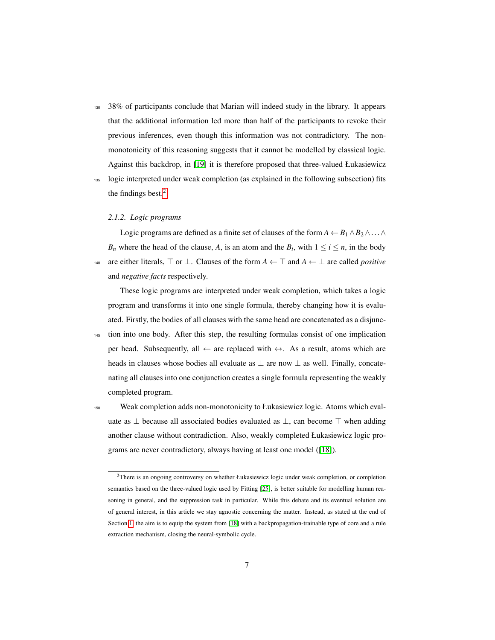<sup>130</sup> 38% of participants conclude that Marian will indeed study in the library. It appears that the additional information led more than half of the participants to revoke their previous inferences, even though this information was not contradictory. The nonmonotonicity of this reasoning suggests that it cannot be modelled by classical logic. Against this backdrop, in [\[19\]](#page-43-0) it is therefore proposed that three-valued Łukasiewicz

<sup>135</sup> logic interpreted under weak completion (as explained in the following subsection) fits the findings best.[2](#page-7-0)

## *2.1.2. Logic programs*

Logic programs are defined as a finite set of clauses of the form  $A \leftarrow B_1 \wedge B_2 \wedge \ldots \wedge$ *B<sub>n</sub>* where the head of the clause, *A*, is an atom and the *B<sub>i</sub>*, with  $1 \le i \le n$ , in the body 140 are either literals,  $\top$  or  $\bot$ . Clauses of the form  $A \leftarrow \top$  and  $A \leftarrow \bot$  are called *positive* and *negative facts* respectively.

These logic programs are interpreted under weak completion, which takes a logic program and transforms it into one single formula, thereby changing how it is evaluated. Firstly, the bodies of all clauses with the same head are concatenated as a disjunc-

<sup>145</sup> tion into one body. After this step, the resulting formulas consist of one implication per head. Subsequently, all  $\leftarrow$  are replaced with  $\leftrightarrow$ . As a result, atoms which are heads in clauses whose bodies all evaluate as  $\perp$  are now  $\perp$  as well. Finally, concatenating all clauses into one conjunction creates a single formula representing the weakly completed program.

<sup>150</sup> Weak completion adds non-monotonicity to Łukasiewicz logic. Atoms which evaluate as  $\perp$  because all associated bodies evaluated as  $\perp$ , can become  $\top$  when adding another clause without contradiction. Also, weakly completed Łukasiewicz logic programs are never contradictory, always having at least one model ([\[18\]](#page-42-8)).

<span id="page-7-0"></span><sup>&</sup>lt;sup>2</sup>There is an ongoing controversy on whether Łukasiewicz logic under weak completion, or completion semantics based on the three-valued logic used by Fitting [\[25\]](#page-43-6), is better suitable for modelling human reasoning in general, and the suppression task in particular. While this debate and its eventual solution are of general interest, in this article we stay agnostic concerning the matter. Instead, as stated at the end of Section [1,](#page-1-0) the aim is to equip the system from [\[18\]](#page-42-8) with a backpropagation-trainable type of core and a rule extraction mechanism, closing the neural-symbolic cycle.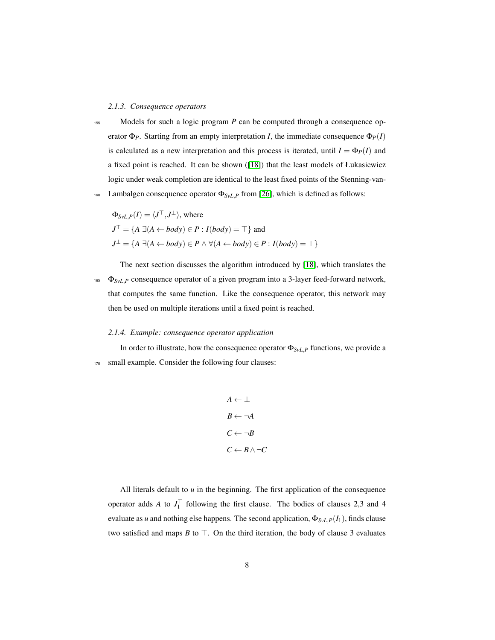### *2.1.3. Consequence operators*

<sup>155</sup> Models for such a logic program *P* can be computed through a consequence operator  $\Phi_P$ . Starting from an empty interpretation *I*, the immediate consequence  $\Phi_P(I)$ is calculated as a new interpretation and this process is iterated, until  $I = \Phi_P(I)$  and a fixed point is reached. It can be shown ([\[18\]](#page-42-8)) that the least models of Łukasiewicz logic under weak completion are identical to the least fixed points of the Stenning-van-160 Lambalgen consequence operator  $\Phi_{SvL,P}$  from [\[26\]](#page-43-7), which is defined as follows:

$$
\Phi_{SvL,P}(I) = \langle J^{\top}, J^{\perp} \rangle, \text{ where}
$$
  
\n
$$
J^{\top} = \{A | \exists (A \leftarrow body) \in P : I(body) = \top \} \text{ and}
$$
  
\n
$$
J^{\perp} = \{A | \exists (A \leftarrow body) \in P \land \forall (A \leftarrow body) \in P : I(body) = \bot \}
$$

The next section discusses the algorithm introduced by [\[18\]](#page-42-8), which translates the <sup>165</sup> Φ<sub>SvL,P</sub> consequence operator of a given program into a 3-layer feed-forward network, that computes the same function. Like the consequence operator, this network may then be used on multiple iterations until a fixed point is reached.

## *2.1.4. Example: consequence operator application*

In order to illustrate, how the consequence operator  $\Phi_{SvL,P}$  functions, we provide a 170 small example. Consider the following four clauses:

$$
A \leftarrow \perp
$$
  

$$
B \leftarrow \neg A
$$
  

$$
C \leftarrow \neg B
$$
  

$$
C \leftarrow B \land \neg C
$$

All literals default to *u* in the beginning. The first application of the consequence operator adds *A* to  $J_1^{\top}$  following the first clause. The bodies of clauses 2,3 and 4 evaluate as *u* and nothing else happens. The second application,  $\Phi_{SvL,P}(I_1)$ , finds clause two satisfied and maps  $B$  to  $\top$ . On the third iteration, the body of clause 3 evaluates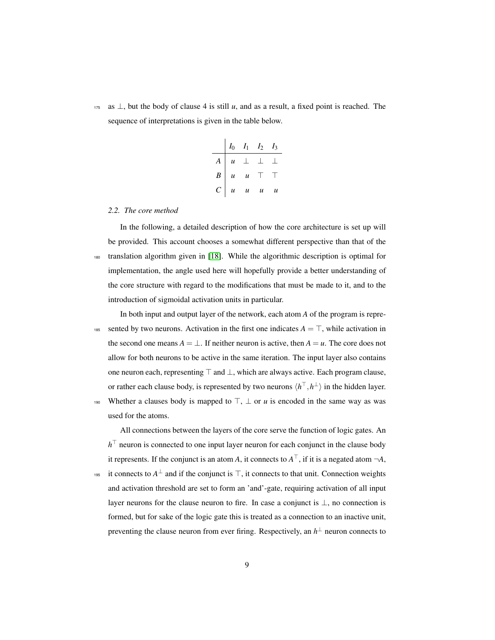$175$  as  $\perp$ , but the body of clause 4 is still *u*, and as a result, a fixed point is reached. The sequence of interpretations is given in the table below.

|                  | $I_0$ $I_1$ $I_2$ $I_3$                         |      |
|------------------|-------------------------------------------------|------|
| $\boldsymbol{A}$ | $u \perp \perp \perp$                           |      |
| $B \mid$         | $u \quad u \quad \top$                          | - 11 |
|                  | $C \begin{vmatrix} u & u & u & u \end{vmatrix}$ |      |

## *2.2. The core method*

In the following, a detailed description of how the core architecture is set up will be provided. This account chooses a somewhat different perspective than that of the <sup>180</sup> translation algorithm given in [\[18\]](#page-42-8). While the algorithmic description is optimal for implementation, the angle used here will hopefully provide a better understanding of the core structure with regard to the modifications that must be made to it, and to the introduction of sigmoidal activation units in particular.

In both input and output layer of the network, each atom *A* of the program is repre-185 sented by two neurons. Activation in the first one indicates  $A = \top$ , while activation in the second one means  $A = \perp$ . If neither neuron is active, then  $A = u$ . The core does not allow for both neurons to be active in the same iteration. The input layer also contains one neuron each, representing  $\top$  and  $\bot$ , which are always active. Each program clause, or rather each clause body, is represented by two neurons  $\langle h^{\top}, h^{\perp} \rangle$  in the hidden layer.

190 Whether a clauses body is mapped to  $\top$ ,  $\bot$  or *u* is encoded in the same way as was used for the atoms.

All connections between the layers of the core serve the function of logic gates. An  $h^{\top}$  neuron is connected to one input layer neuron for each conjunct in the clause body it represents. If the conjunct is an atom *A*, it connects to  $A^{\top}$ , if it is a negated atom  $\neg A$ ,

<sup>195</sup> it connects to  $A^{\perp}$  and if the conjunct is  $\top$ , it connects to that unit. Connection weights and activation threshold are set to form an 'and'-gate, requiring activation of all input layer neurons for the clause neuron to fire. In case a conjunct is ⊥, no connection is formed, but for sake of the logic gate this is treated as a connection to an inactive unit, preventing the clause neuron from ever firing. Respectively, an  $h^{\perp}$  neuron connects to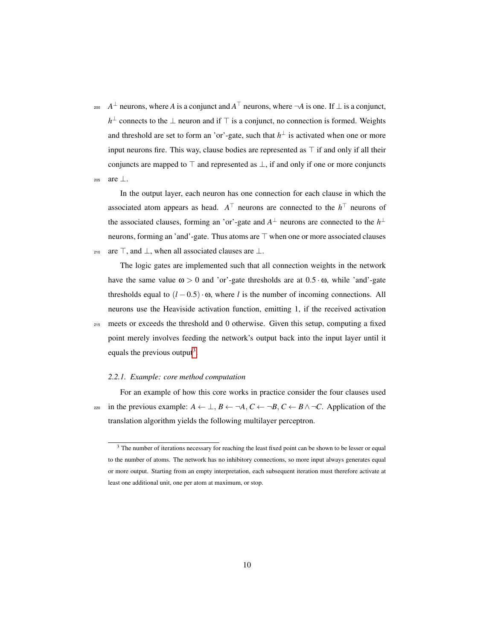<sup>200</sup>  $A^{\perp}$  neurons, where *A* is a conjunct and  $A^{\top}$  neurons, where  $\neg A$  is one. If ⊥ is a conjunct, *h*<sup>⊥</sup> connects to the ⊥ neuron and if  $\top$  is a conjunct, no connection is formed. Weights and threshold are set to form an 'or'-gate, such that  $h^{\perp}$  is activated when one or more input neurons fire. This way, clause bodies are represented as  $\top$  if and only if all their conjuncts are mapped to  $\top$  and represented as  $\bot$ , if and only if one or more conjuncts <sup>205</sup> are ⊥.

In the output layer, each neuron has one connection for each clause in which the associated atom appears as head.  $A^{\top}$  neurons are connected to the  $h^{\top}$  neurons of the associated clauses, forming an 'or'-gate and  $A^{\perp}$  neurons are connected to the  $h^{\perp}$ neurons, forming an 'and'-gate. Thus atoms are  $\top$  when one or more associated clauses 210 are  $\top$ , and  $\bot$ , when all associated clauses are  $\bot$ .

The logic gates are implemented such that all connection weights in the network have the same value  $\omega > 0$  and 'or'-gate thresholds are at  $0.5 \cdot \omega$ , while 'and'-gate thresholds equal to  $(l - 0.5) \cdot \omega$ , where *l* is the number of incoming connections. All neurons use the Heaviside activation function, emitting 1, if the received activation <sup>215</sup> meets or exceeds the threshold and 0 otherwise. Given this setup, computing a fixed point merely involves feeding the network's output back into the input layer until it equals the previous output<sup>[3](#page-10-0)</sup>.

## *2.2.1. Example: core method computation*

For an example of how this core works in practice consider the four clauses used 220 in the previous example:  $A \leftarrow \perp, B \leftarrow \neg A, C \leftarrow \neg B, C \leftarrow B \land \neg C$ . Application of the translation algorithm yields the following multilayer perceptron.

<span id="page-10-0"></span><sup>&</sup>lt;sup>3</sup> The number of iterations necessary for reaching the least fixed point can be shown to be lesser or equal to the number of atoms. The network has no inhibitory connections, so more input always generates equal or more output. Starting from an empty interpretation, each subsequent iteration must therefore activate at least one additional unit, one per atom at maximum, or stop.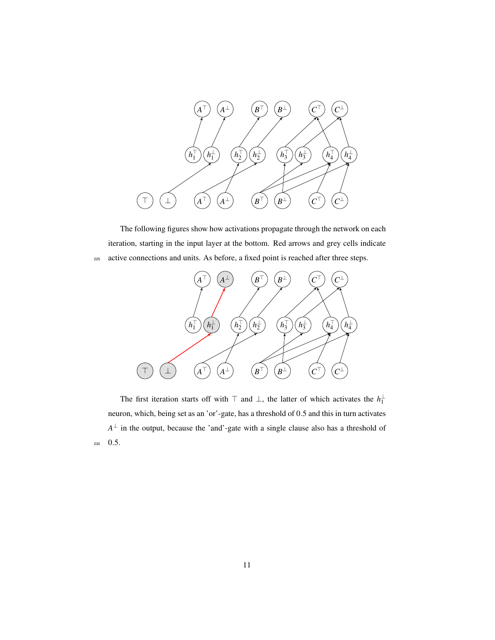

The following figures show how activations propagate through the network on each iteration, starting in the input layer at the bottom. Red arrows and grey cells indicate <sup>225</sup> active connections and units. As before, a fixed point is reached after three steps.



The first iteration starts off with  $\top$  and  $\bot$ , the latter of which activates the  $h_1^{\perp}$ neuron, which, being set as an 'or'-gate, has a threshold of 0.5 and this in turn activates  $A^{\perp}$  in the output, because the 'and'-gate with a single clause also has a threshold of <sup>230</sup> 0.5.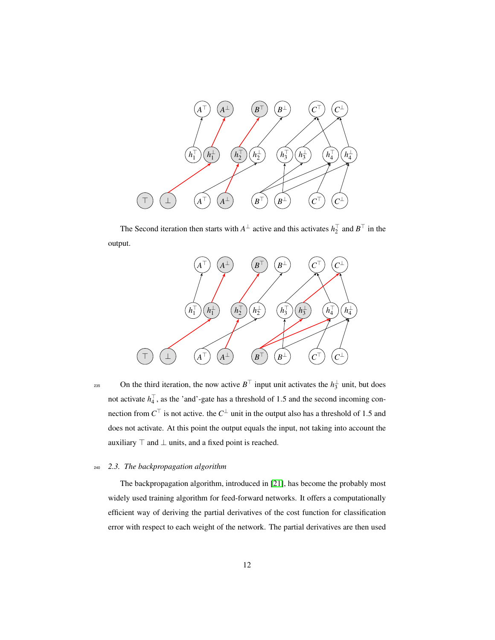

The Second iteration then starts with  $A^{\perp}$  active and this activates  $h_2^{\perp}$  and  $B^{\perp}$  in the output.



235 On the third iteration, the now active  $B^{\top}$  input unit activates the  $h_3^{\perp}$  unit, but does not activate  $h_4^{\dagger}$ , as the 'and'-gate has a threshold of 1.5 and the second incoming connection from  $C^{\top}$  is not active. the  $C^{\perp}$  unit in the output also has a threshold of 1.5 and does not activate. At this point the output equals the input, not taking into account the auxiliary  $\top$  and  $\bot$  units, and a fixed point is reached.

## <sup>240</sup> *2.3. The backpropagation algorithm*

The backpropagation algorithm, introduced in [\[21\]](#page-43-2), has become the probably most widely used training algorithm for feed-forward networks. It offers a computationally efficient way of deriving the partial derivatives of the cost function for classification error with respect to each weight of the network. The partial derivatives are then used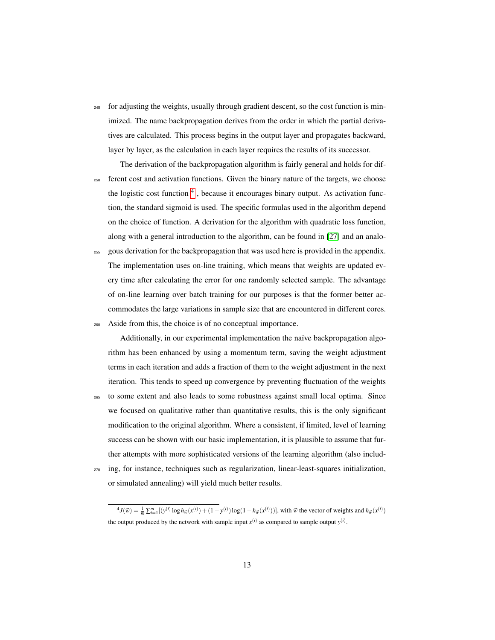<sup>245</sup> for adjusting the weights, usually through gradient descent, so the cost function is minimized. The name backpropagation derives from the order in which the partial derivatives are calculated. This process begins in the output layer and propagates backward, layer by layer, as the calculation in each layer requires the results of its successor.

The derivation of the backpropagation algorithm is fairly general and holds for dif-<sup>250</sup> ferent cost and activation functions. Given the binary nature of the targets, we choose the logistic cost function <sup>[4](#page-13-0)</sup>, because it encourages binary output. As activation function, the standard sigmoid is used. The specific formulas used in the algorithm depend on the choice of function. A derivation for the algorithm with quadratic loss function, along with a general introduction to the algorithm, can be found in [\[27\]](#page-43-8) and an analo-

<sup>255</sup> gous derivation for the backpropagation that was used here is provided in the appendix. The implementation uses on-line training, which means that weights are updated every time after calculating the error for one randomly selected sample. The advantage of on-line learning over batch training for our purposes is that the former better accommodates the large variations in sample size that are encountered in different cores.

<sup>260</sup> Aside from this, the choice is of no conceptual importance.

Additionally, in our experimental implementation the naïve backpropagation algorithm has been enhanced by using a momentum term, saving the weight adjustment terms in each iteration and adds a fraction of them to the weight adjustment in the next iteration. This tends to speed up convergence by preventing fluctuation of the weights

- <sup>265</sup> to some extent and also leads to some robustness against small local optima. Since we focused on qualitative rather than quantitative results, this is the only significant modification to the original algorithm. Where a consistent, if limited, level of learning success can be shown with our basic implementation, it is plausible to assume that further attempts with more sophisticated versions of the learning algorithm (also includ-
- <sup>270</sup> ing, for instance, techniques such as regularization, linear-least-squares initialization, or simulated annealing) will yield much better results.

<span id="page-13-0"></span> ${}^4J(\vec{w}) = \frac{1}{m} \sum_{i=1}^{m} [(y^{(i)} \log h_{\vec{w}}(x^{(i)}) + (1 - y^{(i)}) \log (1 - h_{\vec{w}}(x^{(i)}))]$ , with  $\vec{w}$  the vector of weights and  $h_{\vec{w}}(x^{(i)})$ the output produced by the network with sample input  $x^{(i)}$  as compared to sample output  $y^{(i)}$ .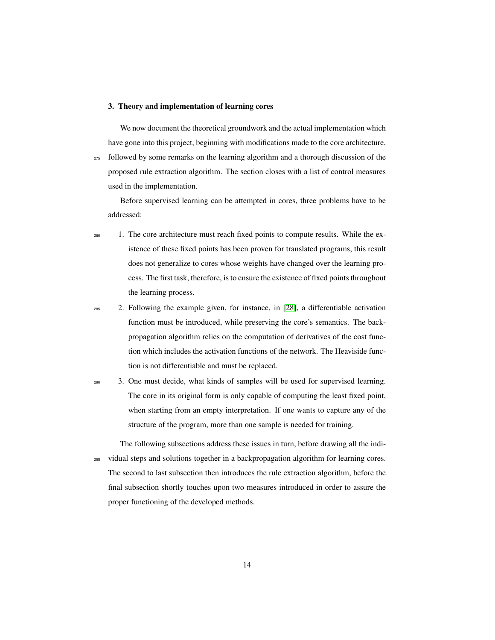## <span id="page-14-0"></span>3. Theory and implementation of learning cores

We now document the theoretical groundwork and the actual implementation which have gone into this project, beginning with modifications made to the core architecture, <sup>275</sup> followed by some remarks on the learning algorithm and a thorough discussion of the proposed rule extraction algorithm. The section closes with a list of control measures used in the implementation.

Before supervised learning can be attempted in cores, three problems have to be addressed:

- <sup>280</sup> 1. The core architecture must reach fixed points to compute results. While the existence of these fixed points has been proven for translated programs, this result does not generalize to cores whose weights have changed over the learning process. The first task, therefore, is to ensure the existence of fixed points throughout the learning process.
- $2.85$  2. Following the example given, for instance, in [\[28\]](#page-43-9), a differentiable activation function must be introduced, while preserving the core's semantics. The backpropagation algorithm relies on the computation of derivatives of the cost function which includes the activation functions of the network. The Heaviside function is not differentiable and must be replaced.
- <sup>290</sup> 3. One must decide, what kinds of samples will be used for supervised learning. The core in its original form is only capable of computing the least fixed point, when starting from an empty interpretation. If one wants to capture any of the structure of the program, more than one sample is needed for training.

The following subsections address these issues in turn, before drawing all the indi-<sup>295</sup> vidual steps and solutions together in a backpropagation algorithm for learning cores. The second to last subsection then introduces the rule extraction algorithm, before the final subsection shortly touches upon two measures introduced in order to assure the proper functioning of the developed methods.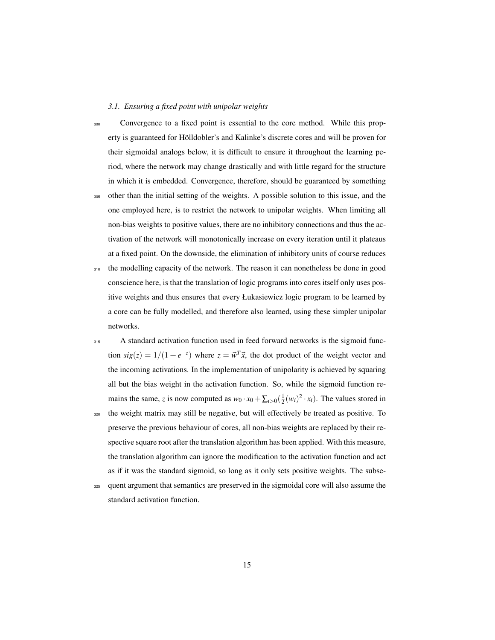## *3.1. Ensuring a fixed point with unipolar weights*

<sup>300</sup> Convergence to a fixed point is essential to the core method. While this property is guaranteed for Hölldobler's and Kalinke's discrete cores and will be proven for their sigmoidal analogs below, it is difficult to ensure it throughout the learning period, where the network may change drastically and with little regard for the structure in which it is embedded. Convergence, therefore, should be guaranteed by something

- <sup>305</sup> other than the initial setting of the weights. A possible solution to this issue, and the one employed here, is to restrict the network to unipolar weights. When limiting all non-bias weights to positive values, there are no inhibitory connections and thus the activation of the network will monotonically increase on every iteration until it plateaus at a fixed point. On the downside, the elimination of inhibitory units of course reduces
- <sup>310</sup> the modelling capacity of the network. The reason it can nonetheless be done in good conscience here, is that the translation of logic programs into cores itself only uses positive weights and thus ensures that every Łukasiewicz logic program to be learned by a core can be fully modelled, and therefore also learned, using these simpler unipolar networks.
- <sup>315</sup> A standard activation function used in feed forward networks is the sigmoid function  $sig(z) = 1/(1 + e^{-z})$  where  $z = \vec{w}^T \vec{x}$ , the dot product of the weight vector and the incoming activations. In the implementation of unipolarity is achieved by squaring all but the bias weight in the activation function. So, while the sigmoid function remains the same, *z* is now computed as  $w_0 \cdot x_0 + \sum_{i>0} (\frac{1}{2}(w_i)^2 \cdot x_i)$ . The values stored in
- <sup>320</sup> the weight matrix may still be negative, but will effectively be treated as positive. To preserve the previous behaviour of cores, all non-bias weights are replaced by their respective square root after the translation algorithm has been applied. With this measure, the translation algorithm can ignore the modification to the activation function and act as if it was the standard sigmoid, so long as it only sets positive weights. The subse-
- <sup>325</sup> quent argument that semantics are preserved in the sigmoidal core will also assume the standard activation function.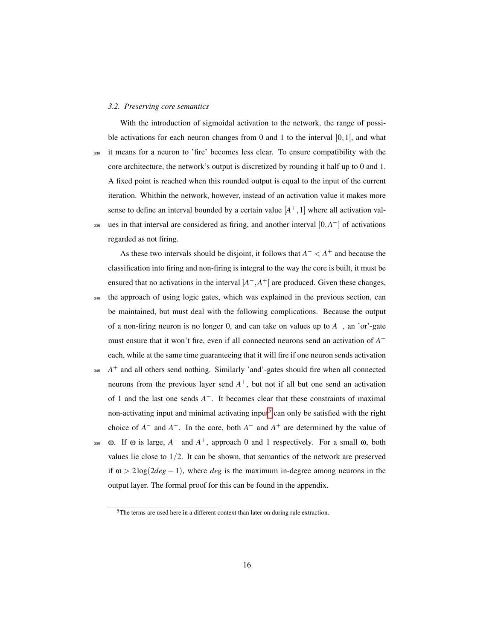#### *3.2. Preserving core semantics*

With the introduction of sigmoidal activation to the network, the range of possible activations for each neuron changes from 0 and 1 to the interval  $[0,1]$ , and what <sup>330</sup> it means for a neuron to 'fire' becomes less clear. To ensure compatibility with the core architecture, the network's output is discretized by rounding it half up to 0 and 1. A fixed point is reached when this rounded output is equal to the input of the current iteration. Whithin the network, however, instead of an activation value it makes more sense to define an interval bounded by a certain value  $[A^+,1]$  where all activation valass ues in that interval are considered as firing, and another interval  $[0, A^-]$  of activations regarded as not firing.

As these two intervals should be disjoint, it follows that  $A^- < A^+$  and because the classification into firing and non-firing is integral to the way the core is built, it must be ensured that no activations in the interval  $A^-$ ,  $A^+$  are produced. Given these changes, the approach of using logic gates, which was explained in the previous section, can be maintained, but must deal with the following complications. Because the output of a non-firing neuron is no longer 0, and can take on values up to  $A^-$ , an 'or'-gate must ensure that it won't fire, even if all connected neurons send an activation of *A* − each, while at the same time guaranteeing that it will fire if one neuron sends activation  $A^+$  and all others send nothing. Similarly 'and'-gates should fire when all connected

neurons from the previous layer send *A* <sup>+</sup>, but not if all but one send an activation of 1 and the last one sends *A* <sup>−</sup>. It becomes clear that these constraints of maximal non-activating input and minimal activating input<sup>[5](#page-16-0)</sup> can only be satisfied with the right choice of  $A^-$  and  $A^+$ . In the core, both  $A^-$  and  $A^+$  are determined by the value of

 $\infty$  **ω.** If ω is large,  $A^-$  and  $A^+$ , approach 0 and 1 respectively. For a small ω, both values lie close to  $1/2$ . It can be shown, that semantics of the network are preserved if  $\omega > 2\log(2deg - 1)$ , where *deg* is the maximum in-degree among neurons in the output layer. The formal proof for this can be found in the appendix.

<span id="page-16-0"></span><sup>&</sup>lt;sup>5</sup>The terms are used here in a different context than later on during rule extraction.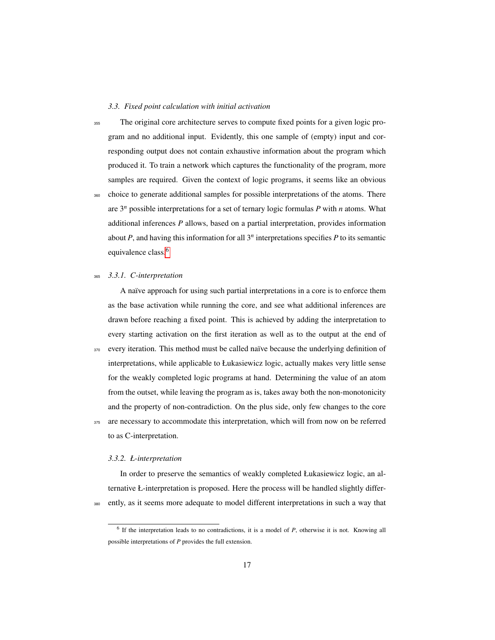## *3.3. Fixed point calculation with initial activation*

<sup>355</sup> The original core architecture serves to compute fixed points for a given logic program and no additional input. Evidently, this one sample of (empty) input and corresponding output does not contain exhaustive information about the program which produced it. To train a network which captures the functionality of the program, more samples are required. Given the context of logic programs, it seems like an obvious <sup>360</sup> choice to generate additional samples for possible interpretations of the atoms. There are 3*<sup>n</sup>* possible interpretations for a set of ternary logic formulas *P* with *n* atoms. What additional inferences *P* allows, based on a partial interpretation, provides information about  $P$ , and having this information for all  $3<sup>n</sup>$  interpretations specifies  $P$  to its semantic equivalence class.<sup>[6](#page-17-0)</sup>

## <sup>365</sup> *3.3.1. C-interpretation*

A naïve approach for using such partial interpretations in a core is to enforce them as the base activation while running the core, and see what additional inferences are drawn before reaching a fixed point. This is achieved by adding the interpretation to every starting activation on the first iteration as well as to the output at the end of 370 every iteration. This method must be called naïve because the underlying definition of interpretations, while applicable to Łukasiewicz logic, actually makes very little sense for the weakly completed logic programs at hand. Determining the value of an atom from the outset, while leaving the program as is, takes away both the non-monotonicity and the property of non-contradiction. On the plus side, only few changes to the core 375 are necessary to accommodate this interpretation, which will from now on be referred

to as C-interpretation.

#### *3.3.2. Ł-interpretation*

In order to preserve the semantics of weakly completed Łukasiewicz logic, an alternative Ł-interpretation is proposed. Here the process will be handled slightly differ-<sup>380</sup> ently, as it seems more adequate to model different interpretations in such a way that

<span id="page-17-0"></span><sup>&</sup>lt;sup>6</sup> If the interpretation leads to no contradictions, it is a model of *P*, otherwise it is not. Knowing all possible interpretations of *P* provides the full extension.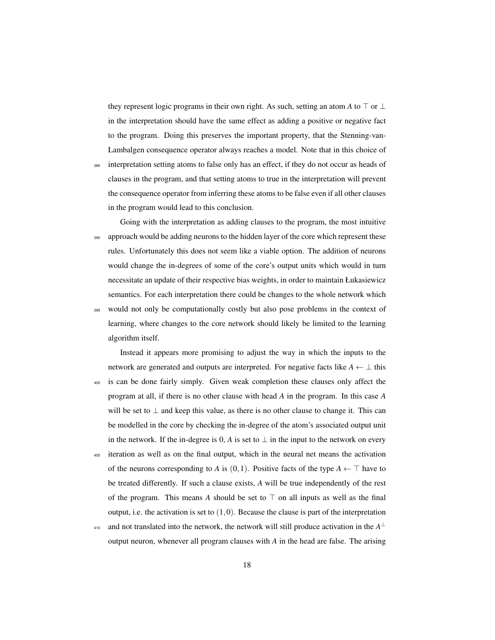they represent logic programs in their own right. As such, setting an atom *A* to  $\top$  or  $\bot$ in the interpretation should have the same effect as adding a positive or negative fact to the program. Doing this preserves the important property, that the Stenning-van-Lambalgen consequence operator always reaches a model. Note that in this choice of

<sup>385</sup> interpretation setting atoms to false only has an effect, if they do not occur as heads of clauses in the program, and that setting atoms to true in the interpretation will prevent the consequence operator from inferring these atoms to be false even if all other clauses in the program would lead to this conclusion.

Going with the interpretation as adding clauses to the program, the most intuitive 390 approach would be adding neurons to the hidden layer of the core which represent these rules. Unfortunately this does not seem like a viable option. The addition of neurons would change the in-degrees of some of the core's output units which would in turn necessitate an update of their respective bias weights, in order to maintain Łukasiewicz semantics. For each interpretation there could be changes to the whole network which <sup>395</sup> would not only be computationally costly but also pose problems in the context of learning, where changes to the core network should likely be limited to the learning algorithm itself.

Instead it appears more promising to adjust the way in which the inputs to the network are generated and outputs are interpreted. For negative facts like  $A \leftarrow \perp$  this <sup>400</sup> is can be done fairly simply. Given weak completion these clauses only affect the program at all, if there is no other clause with head *A* in the program. In this case *A* will be set to  $\perp$  and keep this value, as there is no other clause to change it. This can be modelled in the core by checking the in-degree of the atom's associated output unit in the network. If the in-degree is 0, *A* is set to  $\perp$  in the input to the network on every <sup>405</sup> iteration as well as on the final output, which in the neural net means the activation of the neurons corresponding to *A* is (0,1). Positive facts of the type  $A \leftarrow \top$  have to be treated differently. If such a clause exists, *A* will be true independently of the rest of the program. This means A should be set to  $\top$  on all inputs as well as the final output, i.e. the activation is set to  $(1,0)$ . Because the clause is part of the interpretation

 $\mu_{410}$  and not translated into the network, the network will still produce activation in the  $A^{\perp}$ output neuron, whenever all program clauses with *A* in the head are false. The arising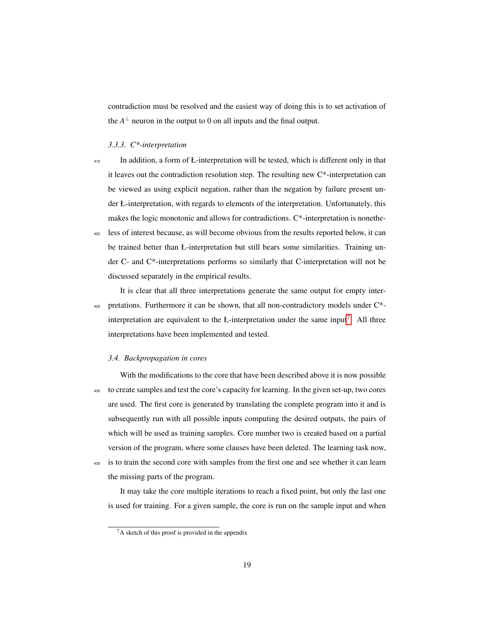contradiction must be resolved and the easiest way of doing this is to set activation of the  $A^{\perp}$  neuron in the output to 0 on all inputs and the final output.

#### *3.3.3. C\*-interpretation*

- <sup>415</sup> In addition, a form of Ł-interpretation will be tested, which is different only in that it leaves out the contradiction resolution step. The resulting new C\*-interpretation can be viewed as using explicit negation, rather than the negation by failure present under Ł-interpretation, with regards to elements of the interpretation. Unfortunately, this makes the logic monotonic and allows for contradictions. C\*-interpretation is nonethe-<sup>420</sup> less of interest because, as will become obvious from the results reported below, it can
	- be trained better than Ł-interpretation but still bears some similarities. Training under C- and C\*-interpretations performs so similarly that C-interpretation will not be discussed separately in the empirical results.

It is clear that all three interpretations generate the same output for empty inter- $425$  pretations. Furthermore it can be shown, that all non-contradictory models under  $C^*$ -interpretation are equivalent to the Ł-interpretation under the same input<sup>[7](#page-19-0)</sup>. All three interpretations have been implemented and tested.

#### *3.4. Backpropagation in cores*

With the modifications to the core that have been described above it is now possible <sup>430</sup> to create samples and test the core's capacity for learning. In the given set-up, two cores are used. The first core is generated by translating the complete program into it and is subsequently run with all possible inputs computing the desired outputs, the pairs of which will be used as training samples. Core number two is created based on a partial version of the program, where some clauses have been deleted. The learning task now, <sup>435</sup> is to train the second core with samples from the first one and see whether it can learn

the missing parts of the program.

It may take the core multiple iterations to reach a fixed point, but only the last one is used for training. For a given sample, the core is run on the sample input and when

<span id="page-19-0"></span> ${}^{7}$ A sketch of this proof is provided in the appendix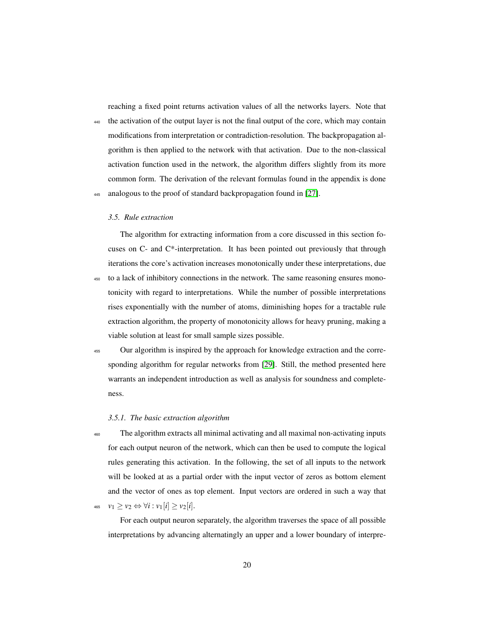reaching a fixed point returns activation values of all the networks layers. Note that

<sup>440</sup> the activation of the output layer is not the final output of the core, which may contain modifications from interpretation or contradiction-resolution. The backpropagation algorithm is then applied to the network with that activation. Due to the non-classical activation function used in the network, the algorithm differs slightly from its more common form. The derivation of the relevant formulas found in the appendix is done analogous to the proof of standard backpropagation found in [\[27\]](#page-43-8).

#### *3.5. Rule extraction*

The algorithm for extracting information from a core discussed in this section focuses on C- and C\*-interpretation. It has been pointed out previously that through iterations the core's activation increases monotonically under these interpretations, due

- <sup>450</sup> to a lack of inhibitory connections in the network. The same reasoning ensures monotonicity with regard to interpretations. While the number of possible interpretations rises exponentially with the number of atoms, diminishing hopes for a tractable rule extraction algorithm, the property of monotonicity allows for heavy pruning, making a viable solution at least for small sample sizes possible.
- <sup>455</sup> Our algorithm is inspired by the approach for knowledge extraction and the corresponding algorithm for regular networks from [\[29\]](#page-43-10). Still, the method presented here warrants an independent introduction as well as analysis for soundness and completeness.

## *3.5.1. The basic extraction algorithm*

<sup>460</sup> The algorithm extracts all minimal activating and all maximal non-activating inputs for each output neuron of the network, which can then be used to compute the logical rules generating this activation. In the following, the set of all inputs to the network will be looked at as a partial order with the input vector of zeros as bottom element and the vector of ones as top element. Input vectors are ordered in such a way that 465  $v_1 \ge v_2 \Leftrightarrow \forall i : v_1[i] \ge v_2[i].$ 

For each output neuron separately, the algorithm traverses the space of all possible interpretations by advancing alternatingly an upper and a lower boundary of interpre-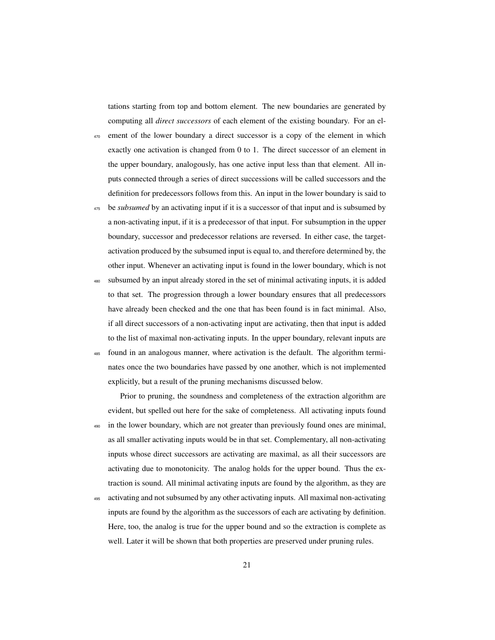tations starting from top and bottom element. The new boundaries are generated by computing all *direct successors* of each element of the existing boundary. For an el-

- <sup>470</sup> ement of the lower boundary a direct successor is a copy of the element in which exactly one activation is changed from 0 to 1. The direct successor of an element in the upper boundary, analogously, has one active input less than that element. All inputs connected through a series of direct successions will be called successors and the definition for predecessors follows from this. An input in the lower boundary is said to
- <sup>475</sup> be *subsumed* by an activating input if it is a successor of that input and is subsumed by a non-activating input, if it is a predecessor of that input. For subsumption in the upper boundary, successor and predecessor relations are reversed. In either case, the targetactivation produced by the subsumed input is equal to, and therefore determined by, the other input. Whenever an activating input is found in the lower boundary, which is not
- subsumed by an input already stored in the set of minimal activating inputs, it is added to that set. The progression through a lower boundary ensures that all predecessors have already been checked and the one that has been found is in fact minimal. Also, if all direct successors of a non-activating input are activating, then that input is added to the list of maximal non-activating inputs. In the upper boundary, relevant inputs are <sup>485</sup> found in an analogous manner, where activation is the default. The algorithm termi
	- nates once the two boundaries have passed by one another, which is not implemented explicitly, but a result of the pruning mechanisms discussed below.

Prior to pruning, the soundness and completeness of the extraction algorithm are evident, but spelled out here for the sake of completeness. All activating inputs found <sup>490</sup> in the lower boundary, which are not greater than previously found ones are minimal, as all smaller activating inputs would be in that set. Complementary, all non-activating inputs whose direct successors are activating are maximal, as all their successors are activating due to monotonicity. The analog holds for the upper bound. Thus the extraction is sound. All minimal activating inputs are found by the algorithm, as they are

<sup>495</sup> activating and not subsumed by any other activating inputs. All maximal non-activating inputs are found by the algorithm as the successors of each are activating by definition. Here, too, the analog is true for the upper bound and so the extraction is complete as well. Later it will be shown that both properties are preserved under pruning rules.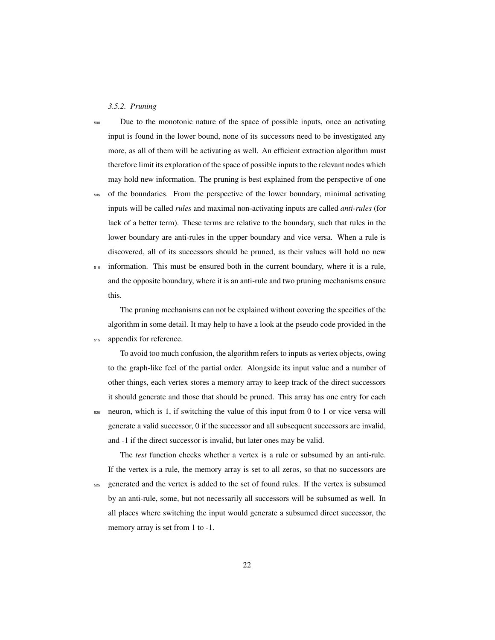## *3.5.2. Pruning*

<sup>500</sup> Due to the monotonic nature of the space of possible inputs, once an activating input is found in the lower bound, none of its successors need to be investigated any more, as all of them will be activating as well. An efficient extraction algorithm must therefore limit its exploration of the space of possible inputs to the relevant nodes which may hold new information. The pruning is best explained from the perspective of one

<sup>505</sup> of the boundaries. From the perspective of the lower boundary, minimal activating inputs will be called *rules* and maximal non-activating inputs are called *anti-rules* (for lack of a better term). These terms are relative to the boundary, such that rules in the lower boundary are anti-rules in the upper boundary and vice versa. When a rule is discovered, all of its successors should be pruned, as their values will hold no new  $510$  information. This must be ensured both in the current boundary, where it is a rule, and the opposite boundary, where it is an anti-rule and two pruning mechanisms ensure this.

The pruning mechanisms can not be explained without covering the specifics of the algorithm in some detail. It may help to have a look at the pseudo code provided in the <sup>515</sup> appendix for reference.

To avoid too much confusion, the algorithm refers to inputs as vertex objects, owing to the graph-like feel of the partial order. Alongside its input value and a number of other things, each vertex stores a memory array to keep track of the direct successors it should generate and those that should be pruned. This array has one entry for each  $520$  neuron, which is 1, if switching the value of this input from 0 to 1 or vice versa will generate a valid successor, 0 if the successor and all subsequent successors are invalid, and -1 if the direct successor is invalid, but later ones may be valid.

The *test* function checks whether a vertex is a rule or subsumed by an anti-rule. If the vertex is a rule, the memory array is set to all zeros, so that no successors are <sup>525</sup> generated and the vertex is added to the set of found rules. If the vertex is subsumed by an anti-rule, some, but not necessarily all successors will be subsumed as well. In all places where switching the input would generate a subsumed direct successor, the memory array is set from 1 to -1.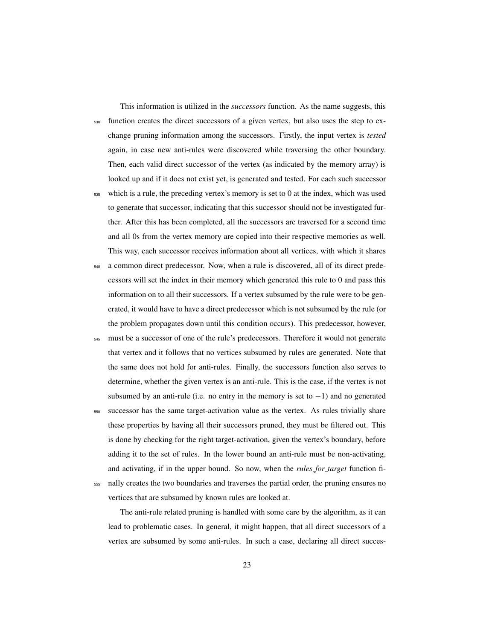This information is utilized in the *successors* function. As the name suggests, this <sup>530</sup> function creates the direct successors of a given vertex, but also uses the step to exchange pruning information among the successors. Firstly, the input vertex is *tested* again, in case new anti-rules were discovered while traversing the other boundary. Then, each valid direct successor of the vertex (as indicated by the memory array) is looked up and if it does not exist yet, is generated and tested. For each such successor <sup>535</sup> which is a rule, the preceding vertex's memory is set to 0 at the index, which was used to generate that successor, indicating that this successor should not be investigated further. After this has been completed, all the successors are traversed for a second time and all 0s from the vertex memory are copied into their respective memories as well.

540 a common direct predecessor. Now, when a rule is discovered, all of its direct predecessors will set the index in their memory which generated this rule to 0 and pass this information on to all their successors. If a vertex subsumed by the rule were to be generated, it would have to have a direct predecessor which is not subsumed by the rule (or the problem propagates down until this condition occurs). This predecessor, however,

This way, each successor receives information about all vertices, with which it shares

<sup>545</sup> must be a successor of one of the rule's predecessors. Therefore it would not generate that vertex and it follows that no vertices subsumed by rules are generated. Note that the same does not hold for anti-rules. Finally, the successors function also serves to determine, whether the given vertex is an anti-rule. This is the case, if the vertex is not subsumed by an anti-rule (i.e. no entry in the memory is set to  $-1$ ) and no generated

<sup>550</sup> successor has the same target-activation value as the vertex. As rules trivially share these properties by having all their successors pruned, they must be filtered out. This is done by checking for the right target-activation, given the vertex's boundary, before adding it to the set of rules. In the lower bound an anti-rule must be non-activating, and activating, if in the upper bound. So now, when the *rules for target* function fi-<sup>555</sup> nally creates the two boundaries and traverses the partial order, the pruning ensures no vertices that are subsumed by known rules are looked at.

The anti-rule related pruning is handled with some care by the algorithm, as it can lead to problematic cases. In general, it might happen, that all direct successors of a vertex are subsumed by some anti-rules. In such a case, declaring all direct succes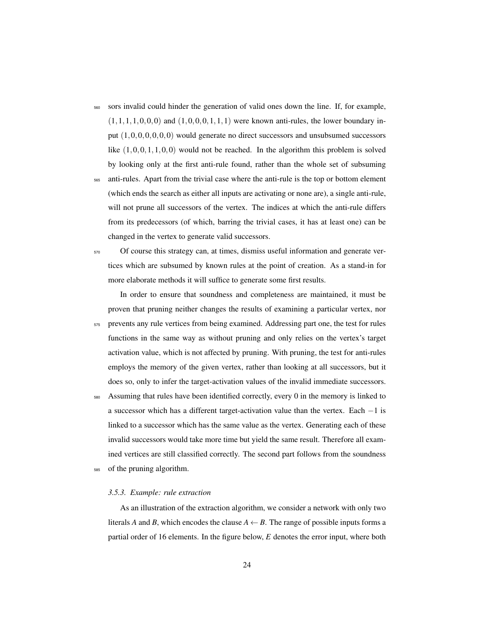<sup>560</sup> sors invalid could hinder the generation of valid ones down the line. If, for example,  $(1,1,1,1,0,0,0)$  and  $(1,0,0,0,1,1,1)$  were known anti-rules, the lower boundary input  $(1,0,0,0,0,0,0)$  would generate no direct successors and unsubsumed successors like  $(1,0,0,1,1,0,0)$  would not be reached. In the algorithm this problem is solved by looking only at the first anti-rule found, rather than the whole set of subsuming

<sup>565</sup> anti-rules. Apart from the trivial case where the anti-rule is the top or bottom element (which ends the search as either all inputs are activating or none are), a single anti-rule, will not prune all successors of the vertex. The indices at which the anti-rule differs from its predecessors (of which, barring the trivial cases, it has at least one) can be changed in the vertex to generate valid successors.

<sup>570</sup> Of course this strategy can, at times, dismiss useful information and generate vertices which are subsumed by known rules at the point of creation. As a stand-in for more elaborate methods it will suffice to generate some first results.

In order to ensure that soundness and completeness are maintained, it must be proven that pruning neither changes the results of examining a particular vertex, nor <sub>575</sub> prevents any rule vertices from being examined. Addressing part one, the test for rules functions in the same way as without pruning and only relies on the vertex's target activation value, which is not affected by pruning. With pruning, the test for anti-rules employs the memory of the given vertex, rather than looking at all successors, but it does so, only to infer the target-activation values of the invalid immediate successors. <sup>580</sup> Assuming that rules have been identified correctly, every 0 in the memory is linked to

a successor which has a different target-activation value than the vertex. Each −1 is linked to a successor which has the same value as the vertex. Generating each of these invalid successors would take more time but yield the same result. Therefore all examined vertices are still classified correctly. The second part follows from the soundness of the pruning algorithm.

## *3.5.3. Example: rule extraction*

As an illustration of the extraction algorithm, we consider a network with only two literals *A* and *B*, which encodes the clause  $A \leftarrow B$ . The range of possible inputs forms a partial order of 16 elements. In the figure below, *E* denotes the error input, where both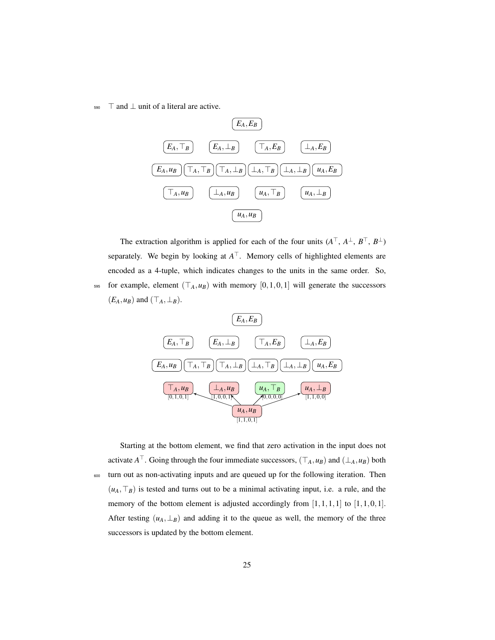$_{590}$   $\top$  and  $\bot$  unit of a literal are active.



The extraction algorithm is applied for each of the four units  $(A^{\top}, A^{\perp}, B^{\top}, B^{\perp})$ separately. We begin by looking at  $A<sup>T</sup>$ . Memory cells of highlighted elements are encoded as a 4-tuple, which indicates changes to the units in the same order. So, 595 for example, element  $(T_A, u_B)$  with memory  $[0, 1, 0, 1]$  will generate the successors  $(E_A, u_B)$  and  $(\top_A, \bot_B)$ .



Starting at the bottom element, we find that zero activation in the input does not activate  $A^{\top}$ . Going through the four immediate successors,  $(\top_A, u_B)$  and  $(\bot_A, u_B)$  both <sup>600</sup> turn out as non-activating inputs and are queued up for the following iteration. Then  $(u_A, \top_B)$  is tested and turns out to be a minimal activating input, i.e. a rule, and the memory of the bottom element is adjusted accordingly from  $[1,1,1,1]$  to  $[1,1,0,1]$ . After testing  $(u_A, \perp_B)$  and adding it to the queue as well, the memory of the three successors is updated by the bottom element.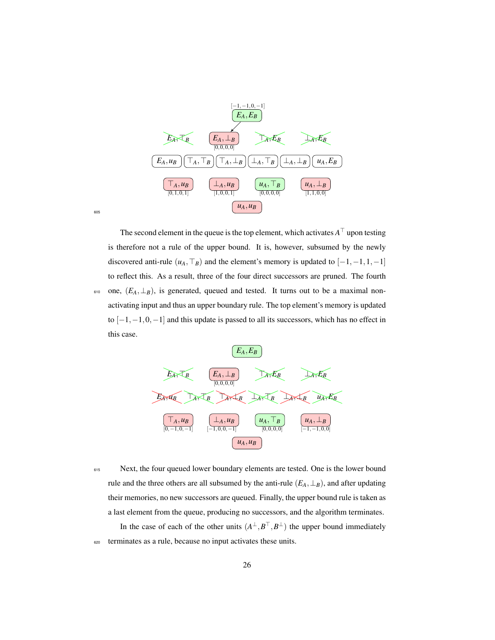

The second element in the queue is the top element, which activates  $A^{\top}$  upon testing is therefore not a rule of the upper bound. It is, however, subsumed by the newly discovered anti-rule  $(u_A, \top_B)$  and the element's memory is updated to  $[-1, -1, 1, -1]$ to reflect this. As a result, three of the four direct successors are pruned. The fourth 610 one,  $(E_A, \perp_B)$ , is generated, queued and tested. It turns out to be a maximal nonactivating input and thus an upper boundary rule. The top element's memory is updated to  $[-1,-1,0,-1]$  and this update is passed to all its successors, which has no effect in this case.



605

615 Next, the four queued lower boundary elements are tested. One is the lower bound rule and the three others are all subsumed by the anti-rule  $(E_A, \perp_B)$ , and after updating their memories, no new successors are queued. Finally, the upper bound rule is taken as a last element from the queue, producing no successors, and the algorithm terminates.

In the case of each of the other units  $(A^{\perp}, B^{\top}, B^{\perp})$  the upper bound immediately <sup>620</sup> terminates as a rule, because no input activates these units.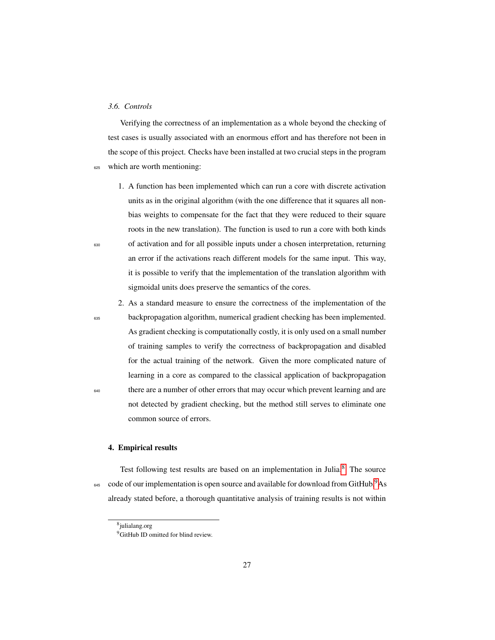## *3.6. Controls*

Verifying the correctness of an implementation as a whole beyond the checking of test cases is usually associated with an enormous effort and has therefore not been in the scope of this project. Checks have been installed at two crucial steps in the program <sup>625</sup> which are worth mentioning:

- 1. A function has been implemented which can run a core with discrete activation units as in the original algorithm (with the one difference that it squares all nonbias weights to compensate for the fact that they were reduced to their square roots in the new translation). The function is used to run a core with both kinds <sup>630</sup> of activation and for all possible inputs under a chosen interpretation, returning an error if the activations reach different models for the same input. This way, it is possible to verify that the implementation of the translation algorithm with sigmoidal units does preserve the semantics of the cores.
- 2. As a standard measure to ensure the correctness of the implementation of the <sup>635</sup> backpropagation algorithm, numerical gradient checking has been implemented. As gradient checking is computationally costly, it is only used on a small number of training samples to verify the correctness of backpropagation and disabled for the actual training of the network. Given the more complicated nature of learning in a core as compared to the classical application of backpropagation <sup>640</sup> there are a number of other errors that may occur which prevent learning and are not detected by gradient checking, but the method still serves to eliminate one common source of errors.

## <span id="page-27-0"></span>4. Empirical results

Test following test results are based on an implementation in Julia.<sup>[8](#page-27-1)</sup> The source  $645$  code of our implementation is open source and available for download from GitHub.<sup>[9](#page-27-2)</sup>As already stated before, a thorough quantitative analysis of training results is not within

<span id="page-27-2"></span><span id="page-27-1"></span><sup>8</sup> julialang.org

<sup>&</sup>lt;sup>9</sup>GitHub ID omitted for blind review.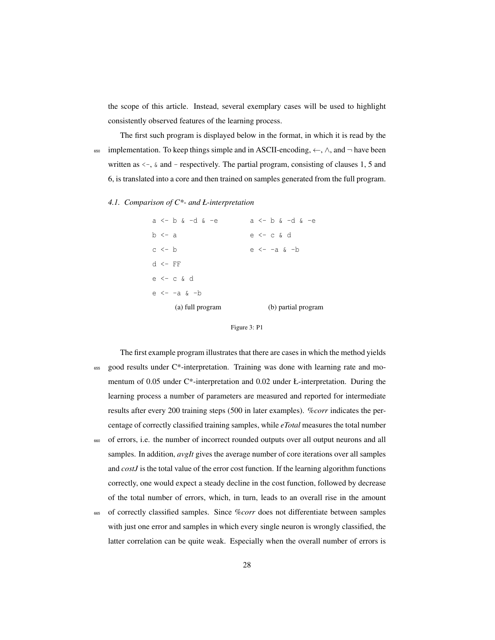the scope of this article. Instead, several exemplary cases will be used to highlight consistently observed features of the learning process.

The first such program is displayed below in the format, in which it is read by the <sup>650</sup> implementation. To keep things simple and in ASCII-encoding, ←, ∧, and ¬ have been written as  $\leftarrow$ ,  $\&$  and - respectively. The partial program, consisting of clauses 1, 5 and 6, is translated into a core and then trained on samples generated from the full program.

#### *4.1. Comparison of C\*- and Ł-interpretation*

| (a) full program      | (b) partial program |
|-----------------------|---------------------|
| e <- -a & -b          |                     |
| $e \leftarrow c \& d$ |                     |
| $d \leftarrow FF$     |                     |
| $c \le - b$           | e <- -a & -b        |
| $b \leq -a$           | e <- c & d          |
| a <- b & -d & -e      | a <- b & -d & -e    |



The first example program illustrates that there are cases in which the method yields  $655$  good results under C\*-interpretation. Training was done with learning rate and momentum of 0.05 under C\*-interpretation and 0.02 under Ł-interpretation. During the learning process a number of parameters are measured and reported for intermediate results after every 200 training steps (500 in later examples). *%corr* indicates the percentage of correctly classified training samples, while *eTotal* measures the total number  $660$  of errors, i.e. the number of incorrect rounded outputs over all output neurons and all samples. In addition, *avgIt* gives the average number of core iterations over all samples

and *costJ* is the total value of the error cost function. If the learning algorithm functions correctly, one would expect a steady decline in the cost function, followed by decrease of the total number of errors, which, in turn, leads to an overall rise in the amount

<sup>665</sup> of correctly classified samples. Since *%corr* does not differentiate between samples with just one error and samples in which every single neuron is wrongly classified, the latter correlation can be quite weak. Especially when the overall number of errors is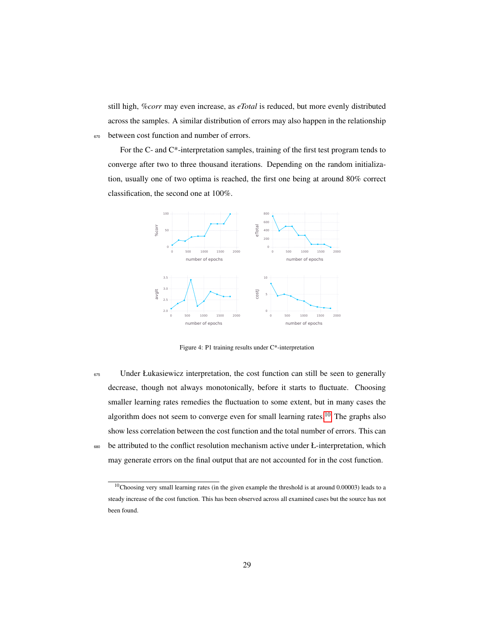still high, *%corr* may even increase, as *eTotal* is reduced, but more evenly distributed across the samples. A similar distribution of errors may also happen in the relationship 670 between cost function and number of errors.

For the C- and C\*-interpretation samples, training of the first test program tends to converge after two to three thousand iterations. Depending on the random initialization, usually one of two optima is reached, the first one being at around 80% correct classification, the second one at 100%.



Figure 4: P1 training results under C\*-interpretation

<sup>675</sup> Under Łukasiewicz interpretation, the cost function can still be seen to generally decrease, though not always monotonically, before it starts to fluctuate. Choosing smaller learning rates remedies the fluctuation to some extent, but in many cases the algorithm does not seem to converge even for small learning rates.<sup>[10](#page-29-0)</sup> The graphs also show less correlation between the cost function and the total number of errors. This can 680 be attributed to the conflict resolution mechanism active under Ł-interpretation, which may generate errors on the final output that are not accounted for in the cost function.

<span id="page-29-0"></span><sup>10</sup>Choosing very small learning rates (in the given example the threshold is at around 0.00003) leads to a steady increase of the cost function. This has been observed across all examined cases but the source has not been found.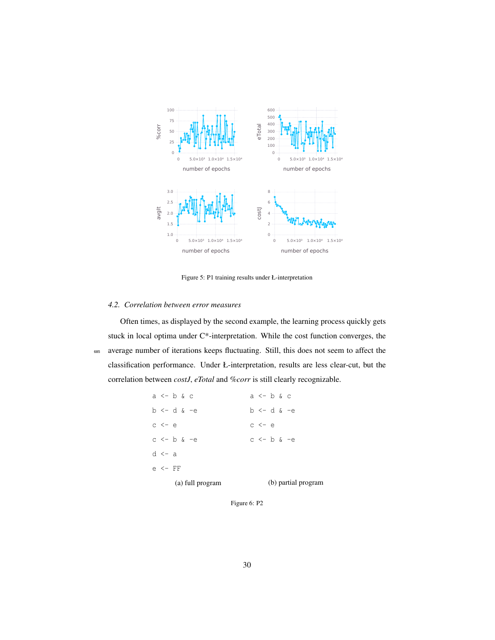

Figure 5: P1 training results under Ł-interpretation

## *4.2. Correlation between error measures*

Often times, as displayed by the second example, the learning process quickly gets stuck in local optima under C\*-interpretation. While the cost function converges, the <sup>685</sup> average number of iterations keeps fluctuating. Still, this does not seem to affect the classification performance. Under Ł-interpretation, results are less clear-cut, but the correlation between *costJ*, *eTotal* and *%corr* is still clearly recognizable.

|                   |                   | (a) full program | (b) partial program |                       |  |  |  |  |
|-------------------|-------------------|------------------|---------------------|-----------------------|--|--|--|--|
| $e \leftarrow FF$ |                   |                  |                     |                       |  |  |  |  |
| $d \leftarrow a$  |                   |                  |                     |                       |  |  |  |  |
|                   | $c \le -b \le -e$ |                  |                     | $c \le -b \in -e$     |  |  |  |  |
| $c \leq -e$       |                   |                  |                     | $c \leftarrow e$      |  |  |  |  |
|                   | b <- d & -e       |                  |                     | $b \leq -d \delta -e$ |  |  |  |  |
|                   | a <- b & c        |                  |                     | a <- b & c            |  |  |  |  |

Figure 6: P2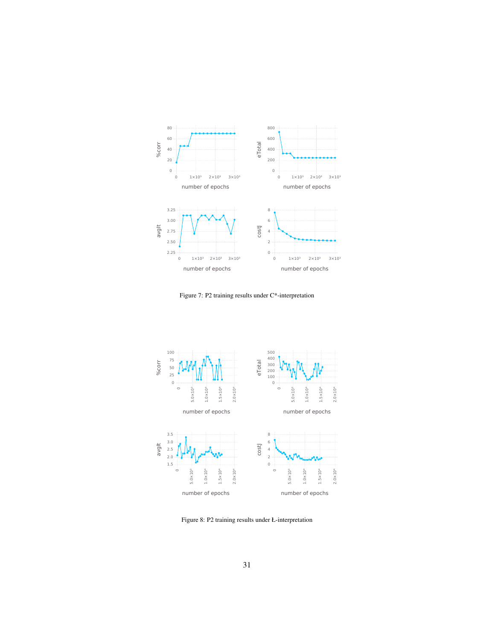

Figure 7: P2 training results under C\*-interpretation



Figure 8: P2 training results under Ł-interpretation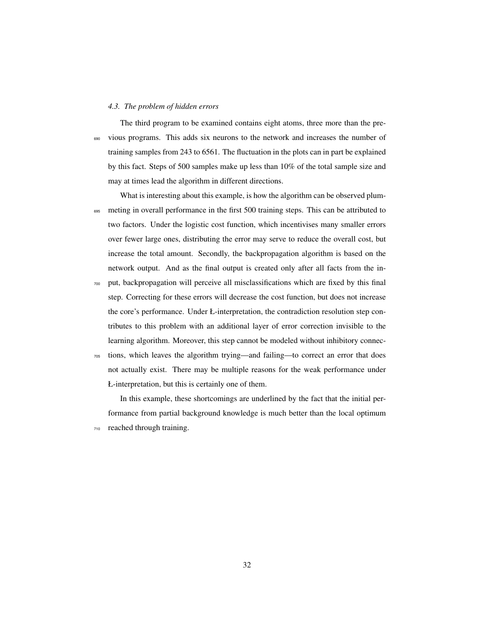#### *4.3. The problem of hidden errors*

The third program to be examined contains eight atoms, three more than the pre-<sup>690</sup> vious programs. This adds six neurons to the network and increases the number of training samples from 243 to 6561. The fluctuation in the plots can in part be explained by this fact. Steps of 500 samples make up less than 10% of the total sample size and may at times lead the algorithm in different directions.

What is interesting about this example, is how the algorithm can be observed plum-<sup>695</sup> meting in overall performance in the first 500 training steps. This can be attributed to two factors. Under the logistic cost function, which incentivises many smaller errors over fewer large ones, distributing the error may serve to reduce the overall cost, but increase the total amount. Secondly, the backpropagation algorithm is based on the network output. And as the final output is created only after all facts from the in-

- <sup>700</sup> put, backpropagation will perceive all misclassifications which are fixed by this final step. Correcting for these errors will decrease the cost function, but does not increase the core's performance. Under Ł-interpretation, the contradiction resolution step contributes to this problem with an additional layer of error correction invisible to the learning algorithm. Moreover, this step cannot be modeled without inhibitory connec-
- <sup>705</sup> tions, which leaves the algorithm trying—and failing—to correct an error that does not actually exist. There may be multiple reasons for the weak performance under Ł-interpretation, but this is certainly one of them.

In this example, these shortcomings are underlined by the fact that the initial performance from partial background knowledge is much better than the local optimum <sup>710</sup> reached through training.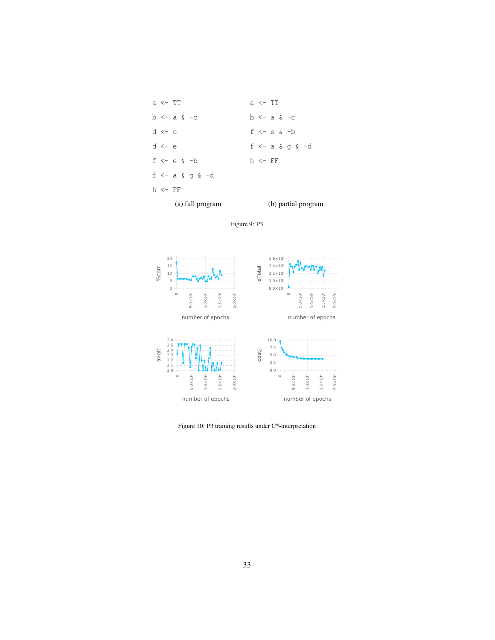| $d \leq -c$                     | f $\leftarrow$ e & $\leftarrow$ b |  |  |  |  |  |
|---------------------------------|-----------------------------------|--|--|--|--|--|
| $d \leq -e$                     | $f \leftarrow a \& q \& -d$       |  |  |  |  |  |
| $f \leftarrow e \& -b$          | h <- FF                           |  |  |  |  |  |
| $f \leftarrow a \& q \& \neg d$ |                                   |  |  |  |  |  |
| $h \leq -FF$                    |                                   |  |  |  |  |  |
| (a) full program                | (b) partial program               |  |  |  |  |  |





Figure 10: P3 training results under C\*-interpretation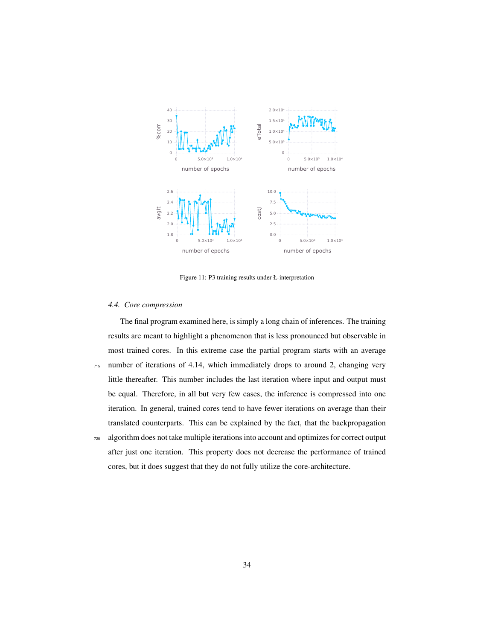

Figure 11: P3 training results under Ł-interpretation

## *4.4. Core compression*

The final program examined here, is simply a long chain of inferences. The training results are meant to highlight a phenomenon that is less pronounced but observable in most trained cores. In this extreme case the partial program starts with an average <sup>715</sup> number of iterations of 4.14, which immediately drops to around 2, changing very little thereafter. This number includes the last iteration where input and output must be equal. Therefore, in all but very few cases, the inference is compressed into one iteration. In general, trained cores tend to have fewer iterations on average than their translated counterparts. This can be explained by the fact, that the backpropagation <sup>720</sup> algorithm does not take multiple iterations into account and optimizes for correct output after just one iteration. This property does not decrease the performance of trained cores, but it does suggest that they do not fully utilize the core-architecture.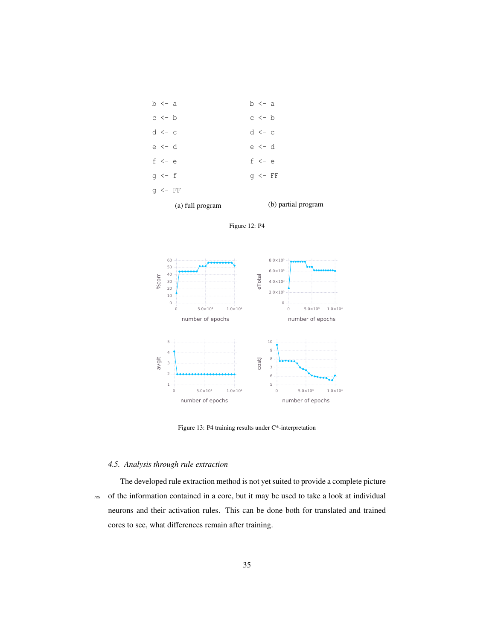|                   | (a) full program | $(b)$ pa          |  |  |  |
|-------------------|------------------|-------------------|--|--|--|
| $q \leftarrow FF$ |                  |                   |  |  |  |
| q <- f            |                  | $q \leftarrow FF$ |  |  |  |
| $f \leftarrow e$  |                  | $f \leftarrow e$  |  |  |  |
| e <- d            |                  | e <- d            |  |  |  |
| $d \leftarrow c$  |                  | $d \leftarrow c$  |  |  |  |
| $c \le -b$        |                  | $c \le -b$        |  |  |  |
| b <- a            |                  | b <- a            |  |  |  |







Figure 13: P4 training results under C\*-interpretation

## *4.5. Analysis through rule extraction*

The developed rule extraction method is not yet suited to provide a complete picture <sup>725</sup> of the information contained in a core, but it may be used to take a look at individual neurons and their activation rules. This can be done both for translated and trained cores to see, what differences remain after training.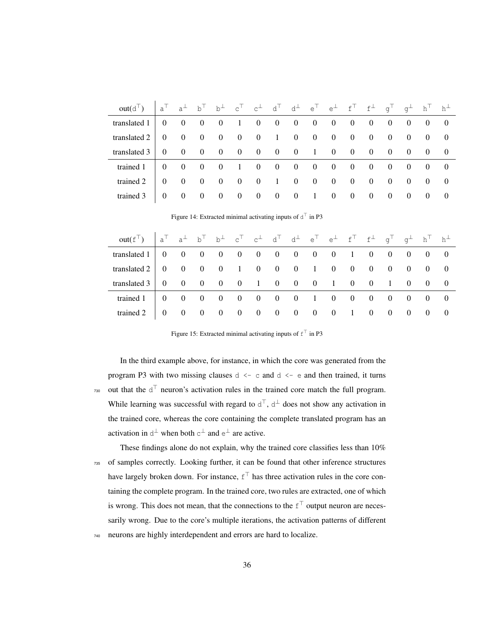| $out(d^{\top})$ $a^{\top}$ $a^{\perp}$ $b^{\top}$ $b^{\perp}$ $c^{\top}$ $c^{\perp}$ $d^{\top}$ $d^{\perp}$ $e^{\top}$ $e^{\perp}$ $f^{\top}$ $f^{\perp}$ $g^{\top}$ $g^{\perp}$ $h^{\top}$ $h^{\perp}$ |          |  |                                   |  |  |  |  |                |                                     |  |
|---------------------------------------------------------------------------------------------------------------------------------------------------------------------------------------------------------|----------|--|-----------------------------------|--|--|--|--|----------------|-------------------------------------|--|
|                                                                                                                                                                                                         |          |  |                                   |  |  |  |  |                |                                     |  |
| translated $2 \begin{pmatrix} 0 & 0 & 0 & 0 & 0 & 0 & 1 & 0 & 0 & 0 & 0 & 0 & 0 & 0 & 0 \end{pmatrix}$                                                                                                  |          |  |                                   |  |  |  |  |                |                                     |  |
| translated $3 \begin{pmatrix} 0 & 0 & 0 & 0 & 0 & 0 & 0 & 0 & 1 & 0 & 0 & 0 & 0 & 0 & 0 \end{pmatrix}$                                                                                                  |          |  |                                   |  |  |  |  |                |                                     |  |
| trained $1 \begin{pmatrix} 0 & 0 & 0 & 0 & 1 & 0 & 0 & 0 & 0 & 0 & 0 & 0 & 0 & 0 & 0 \end{pmatrix}$                                                                                                     |          |  |                                   |  |  |  |  |                |                                     |  |
| trained 2                                                                                                                                                                                               |          |  | 0 0 0 0 0 0 1 0 0 0 0 0 0 0 0 0 0 |  |  |  |  |                |                                     |  |
| trained 3                                                                                                                                                                                               | $\Omega$ |  | 0 0 0 0 0 0 0 1 0 0 0 0           |  |  |  |  | $\overline{0}$ | $\begin{matrix} 0 & 0 \end{matrix}$ |  |

Figure 14: Extracted minimal activating inputs of  $d<sup>T</sup>$  in P3

| $\text{out}(f^{\top}) \quad \begin{vmatrix} a^{\top} & a^{\perp} & b^{\top} & b^{\perp} & c^{\top} & c^{\perp} & d^{\top} & d^{\perp} & e^{\top} & e^{\perp} & f^{\top} & f^{\perp} & g^{\top} & g^{\perp} & h^{\top} & h^{\perp} \end{vmatrix}$ |  |  |  |  |  |  |  |  |
|--------------------------------------------------------------------------------------------------------------------------------------------------------------------------------------------------------------------------------------------------|--|--|--|--|--|--|--|--|
| translated $1 \begin{pmatrix} 0 & 0 & 0 & 0 & 0 & 0 & 0 & 0 & 0 & 0 & 1 & 0 & 0 & 0 & 0 & 0 \end{pmatrix}$                                                                                                                                       |  |  |  |  |  |  |  |  |
| translated $2 \begin{pmatrix} 0 & 0 & 0 & 0 & 1 & 0 & 0 & 0 & 1 & 0 & 0 & 0 & 0 & 0 & 0 & 0 \end{pmatrix}$                                                                                                                                       |  |  |  |  |  |  |  |  |
| translated $3 \begin{pmatrix} 0 & 0 & 0 & 0 & 0 & 1 & 0 & 0 & 0 & 1 & 0 & 0 & 1 & 0 & 0 & 0 \end{pmatrix}$                                                                                                                                       |  |  |  |  |  |  |  |  |
| trained $1 \begin{pmatrix} 0 & 0 & 0 & 0 & 0 & 0 & 0 & 0 & 1 & 0 & 0 & 0 & 0 & 0 & 0 & 0 \end{pmatrix}$                                                                                                                                          |  |  |  |  |  |  |  |  |
|                                                                                                                                                                                                                                                  |  |  |  |  |  |  |  |  |

Figure 15: Extracted minimal activating inputs of  $f^{\top}$  in P3

In the third example above, for instance, in which the core was generated from the program P3 with two missing clauses  $d \leq c$  and  $d \leq e$  and then trained, it turns <sup>730</sup> out that the  $d<sup>T</sup>$  neuron's activation rules in the trained core match the full program. While learning was successful with regard to  $d^{\top}$ ,  $d^{\perp}$  does not show any activation in the trained core, whereas the core containing the complete translated program has an activation in  $d^{\perp}$  when both  $c^{\perp}$  and  $e^{\perp}$  are active.

These findings alone do not explain, why the trained core classifies less than 10% <sup>735</sup> of samples correctly. Looking further, it can be found that other inference structures have largely broken down. For instance,  $f^{\top}$  has three activation rules in the core containing the complete program. In the trained core, two rules are extracted, one of which is wrong. This does not mean, that the connections to the  $f^{\top}$  output neuron are necessarily wrong. Due to the core's multiple iterations, the activation patterns of different <sup>740</sup> neurons are highly interdependent and errors are hard to localize.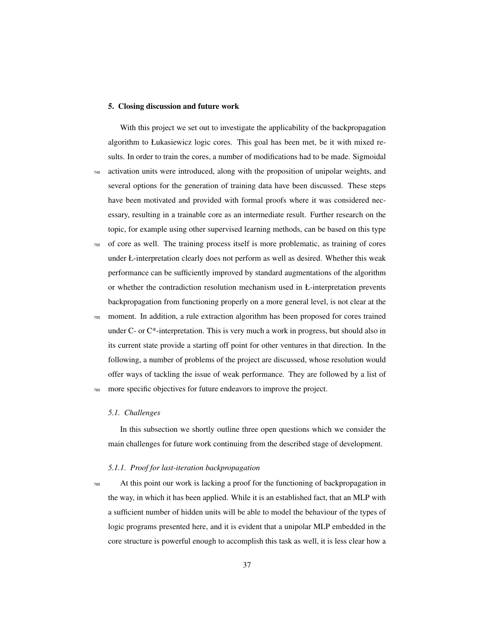## <span id="page-37-0"></span>5. Closing discussion and future work

With this project we set out to investigate the applicability of the backpropagation algorithm to Łukasiewicz logic cores. This goal has been met, be it with mixed results. In order to train the cores, a number of modifications had to be made. Sigmoidal <sup>745</sup> activation units were introduced, along with the proposition of unipolar weights, and several options for the generation of training data have been discussed. These steps have been motivated and provided with formal proofs where it was considered necessary, resulting in a trainable core as an intermediate result. Further research on the topic, for example using other supervised learning methods, can be based on this type

- <sup>750</sup> of core as well. The training process itself is more problematic, as training of cores under Ł-interpretation clearly does not perform as well as desired. Whether this weak performance can be sufficiently improved by standard augmentations of the algorithm or whether the contradiction resolution mechanism used in Ł-interpretation prevents backpropagation from functioning properly on a more general level, is not clear at the
- <sup>755</sup> moment. In addition, a rule extraction algorithm has been proposed for cores trained under C- or C\*-interpretation. This is very much a work in progress, but should also in its current state provide a starting off point for other ventures in that direction. In the following, a number of problems of the project are discussed, whose resolution would offer ways of tackling the issue of weak performance. They are followed by a list of <sup>760</sup> more specific objectives for future endeavors to improve the project.

## *5.1. Challenges*

In this subsection we shortly outline three open questions which we consider the main challenges for future work continuing from the described stage of development.

## *5.1.1. Proof for last-iteration backpropagation*

<sup>765</sup> At this point our work is lacking a proof for the functioning of backpropagation in the way, in which it has been applied. While it is an established fact, that an MLP with a sufficient number of hidden units will be able to model the behaviour of the types of logic programs presented here, and it is evident that a unipolar MLP embedded in the core structure is powerful enough to accomplish this task as well, it is less clear how a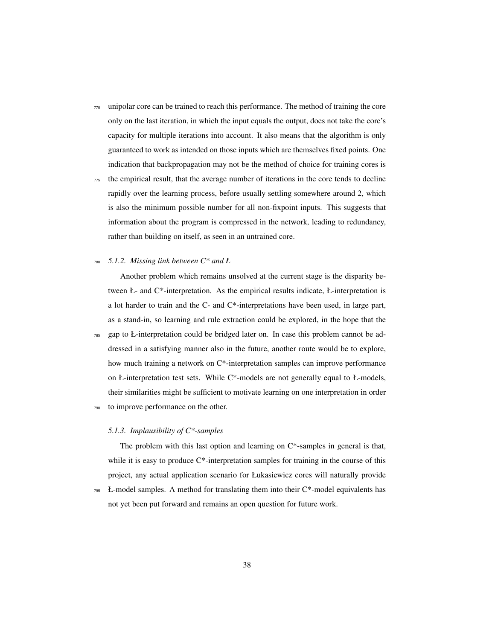<sup>770</sup> unipolar core can be trained to reach this performance. The method of training the core only on the last iteration, in which the input equals the output, does not take the core's capacity for multiple iterations into account. It also means that the algorithm is only guaranteed to work as intended on those inputs which are themselves fixed points. One indication that backpropagation may not be the method of choice for training cores is

<sup>775</sup> the empirical result, that the average number of iterations in the core tends to decline rapidly over the learning process, before usually settling somewhere around 2, which is also the minimum possible number for all non-fixpoint inputs. This suggests that information about the program is compressed in the network, leading to redundancy, rather than building on itself, as seen in an untrained core.

## <sup>780</sup> *5.1.2. Missing link between C\* and Ł*

Another problem which remains unsolved at the current stage is the disparity between Ł- and C\*-interpretation. As the empirical results indicate, Ł-interpretation is a lot harder to train and the C- and C\*-interpretations have been used, in large part, as a stand-in, so learning and rule extraction could be explored, in the hope that the

<sup>785</sup> gap to Ł-interpretation could be bridged later on. In case this problem cannot be addressed in a satisfying manner also in the future, another route would be to explore, how much training a network on  $C^*$ -interpretation samples can improve performance on Ł-interpretation test sets. While C\*-models are not generally equal to Ł-models, their similarities might be sufficient to motivate learning on one interpretation in order to improve performance on the other.

## *5.1.3. Implausibility of C\*-samples*

The problem with this last option and learning on C\*-samples in general is that, while it is easy to produce C\*-interpretation samples for training in the course of this project, any actual application scenario for Łukasiewicz cores will naturally provide

 $795$  Ł-model samples. A method for translating them into their C\*-model equivalents has not yet been put forward and remains an open question for future work.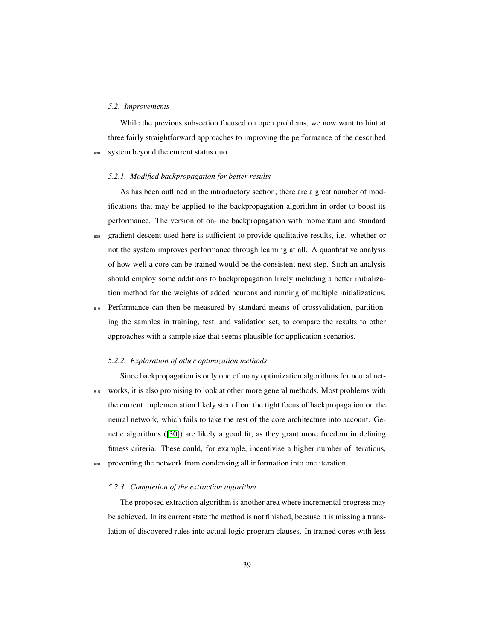## *5.2. Improvements*

While the previous subsection focused on open problems, we now want to hint at three fairly straightforward approaches to improving the performance of the described system beyond the current status quo.

#### *5.2.1. Modified backpropagation for better results*

As has been outlined in the introductory section, there are a great number of modifications that may be applied to the backpropagation algorithm in order to boost its performance. The version of on-line backpropagation with momentum and standard 805 gradient descent used here is sufficient to provide qualitative results, i.e. whether or not the system improves performance through learning at all. A quantitative analysis of how well a core can be trained would be the consistent next step. Such an analysis should employ some additions to backpropagation likely including a better initialization method for the weights of added neurons and running of multiple initializations.

810 Performance can then be measured by standard means of crossvalidation, partitioning the samples in training, test, and validation set, to compare the results to other approaches with a sample size that seems plausible for application scenarios.

## *5.2.2. Exploration of other optimization methods*

Since backpropagation is only one of many optimization algorithms for neural net-815 works, it is also promising to look at other more general methods. Most problems with the current implementation likely stem from the tight focus of backpropagation on the neural network, which fails to take the rest of the core architecture into account. Genetic algorithms ([\[30\]](#page-43-11)) are likely a good fit, as they grant more freedom in defining fitness criteria. These could, for example, incentivise a higher number of iterations, 820 preventing the network from condensing all information into one iteration.

## *5.2.3. Completion of the extraction algorithm*

The proposed extraction algorithm is another area where incremental progress may be achieved. In its current state the method is not finished, because it is missing a translation of discovered rules into actual logic program clauses. In trained cores with less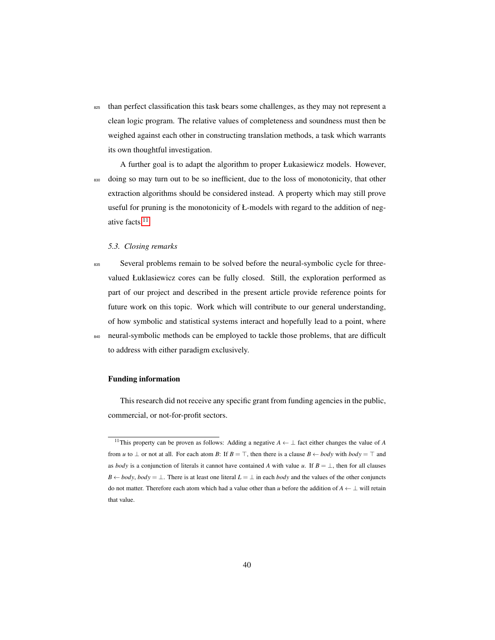<sup>825</sup> than perfect classification this task bears some challenges, as they may not represent a clean logic program. The relative values of completeness and soundness must then be weighed against each other in constructing translation methods, a task which warrants its own thoughtful investigation.

A further goal is to adapt the algorithm to proper Łukasiewicz models. However, 830 doing so may turn out to be so inefficient, due to the loss of monotonicity, that other extraction algorithms should be considered instead. A property which may still prove useful for pruning is the monotonicity of Ł-models with regard to the addition of negative facts.[11](#page-40-0)

## *5.3. Closing remarks*

<sup>835</sup> Several problems remain to be solved before the neural-symbolic cycle for threevalued Łuklasiewicz cores can be fully closed. Still, the exploration performed as part of our project and described in the present article provide reference points for future work on this topic. Work which will contribute to our general understanding, of how symbolic and statistical systems interact and hopefully lead to a point, where 840 neural-symbolic methods can be employed to tackle those problems, that are difficult to address with either paradigm exclusively.

## Funding information

This research did not receive any specific grant from funding agencies in the public, commercial, or not-for-profit sectors.

<span id="page-40-0"></span><sup>11</sup>This property can be proven as follows: Adding a negative *A* ← ⊥ fact either changes the value of *A* from *u* to  $\perp$  or not at all. For each atom *B*: If  $B = \top$ , then there is a clause  $B \leftarrow body$  with  $body = \top$  and as *body* is a conjunction of literals it cannot have contained *A* with value *u*. If  $B = \perp$ , then for all clauses *B* ← *body*, *body* = ⊥. There is at least one literal  $L = \perp$  in each *body* and the values of the other conjuncts do not matter. Therefore each atom which had a value other than *u* before the addition of *A* ← ⊥ will retain that value.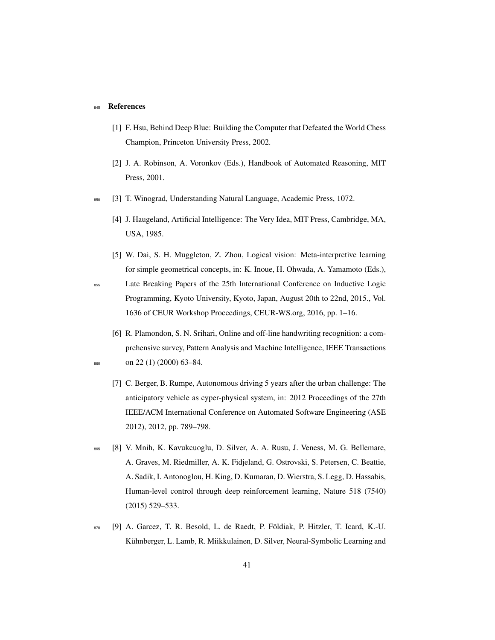## 845 References

- <span id="page-41-0"></span>[1] F. Hsu, Behind Deep Blue: Building the Computer that Defeated the World Chess Champion, Princeton University Press, 2002.
- <span id="page-41-1"></span>[2] J. A. Robinson, A. Voronkov (Eds.), Handbook of Automated Reasoning, MIT Press, 2001.
- <span id="page-41-3"></span><span id="page-41-2"></span><sup>850</sup> [3] T. Winograd, Understanding Natural Language, Academic Press, 1072.
	- [4] J. Haugeland, Artificial Intelligence: The Very Idea, MIT Press, Cambridge, MA, USA, 1985.
	- [5] W. Dai, S. H. Muggleton, Z. Zhou, Logical vision: Meta-interpretive learning for simple geometrical concepts, in: K. Inoue, H. Ohwada, A. Yamamoto (Eds.),

<span id="page-41-8"></span><sup>855</sup> Late Breaking Papers of the 25th International Conference on Inductive Logic Programming, Kyoto University, Kyoto, Japan, August 20th to 22nd, 2015., Vol. 1636 of CEUR Workshop Proceedings, CEUR-WS.org, 2016, pp. 1–16.

- <span id="page-41-5"></span><span id="page-41-4"></span>[6] R. Plamondon, S. N. Srihari, Online and off-line handwriting recognition: a comprehensive survey, Pattern Analysis and Machine Intelligence, IEEE Transactions  $860$  on 22 (1) (2000) 63-84.
	- [7] C. Berger, B. Rumpe, Autonomous driving 5 years after the urban challenge: The anticipatory vehicle as cyper-physical system, in: 2012 Proceedings of the 27th IEEE/ACM International Conference on Automated Software Engineering (ASE 2012), 2012, pp. 789–798.
- <span id="page-41-6"></span>865 [8] V. Mnih, K. Kavukcuoglu, D. Silver, A. A. Rusu, J. Veness, M. G. Bellemare, A. Graves, M. Riedmiller, A. K. Fidjeland, G. Ostrovski, S. Petersen, C. Beattie, A. Sadik, I. Antonoglou, H. King, D. Kumaran, D. Wierstra, S. Legg, D. Hassabis, Human-level control through deep reinforcement learning, Nature 518 (7540) (2015) 529–533.
- <span id="page-41-7"></span>870 [9] A. Garcez, T. R. Besold, L. de Raedt, P. Földiak, P. Hitzler, T. Icard, K.-U. Kühnberger, L. Lamb, R. Miikkulainen, D. Silver, Neural-Symbolic Learning and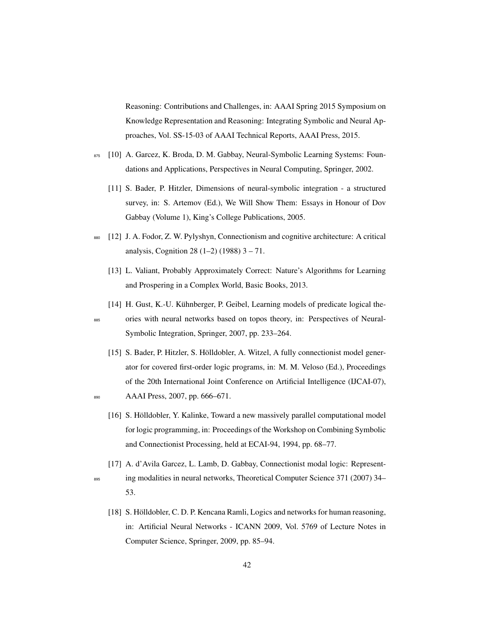Reasoning: Contributions and Challenges, in: AAAI Spring 2015 Symposium on Knowledge Representation and Reasoning: Integrating Symbolic and Neural Approaches, Vol. SS-15-03 of AAAI Technical Reports, AAAI Press, 2015.

- <span id="page-42-1"></span><span id="page-42-0"></span>875 [10] A. Garcez, K. Broda, D. M. Gabbay, Neural-Symbolic Learning Systems: Foundations and Applications, Perspectives in Neural Computing, Springer, 2002.
	- [11] S. Bader, P. Hitzler, Dimensions of neural-symbolic integration a structured survey, in: S. Artemov (Ed.), We Will Show Them: Essays in Honour of Dov Gabbay (Volume 1), King's College Publications, 2005.
- <span id="page-42-3"></span><span id="page-42-2"></span><sup>880</sup> [12] J. A. Fodor, Z. W. Pylyshyn, Connectionism and cognitive architecture: A critical analysis, Cognition 28 (1–2) (1988) 3 – 71.
	- [13] L. Valiant, Probably Approximately Correct: Nature's Algorithms for Learning and Prospering in a Complex World, Basic Books, 2013.
	- [14] H. Gust, K.-U. Kühnberger, P. Geibel, Learning models of predicate logical the-
- <span id="page-42-4"></span><sup>885</sup> ories with neural networks based on topos theory, in: Perspectives of Neural-Symbolic Integration, Springer, 2007, pp. 233–264.
- <span id="page-42-6"></span><span id="page-42-5"></span>[15] S. Bader, P. Hitzler, S. Hölldobler, A. Witzel, A fully connectionist model generator for covered first-order logic programs, in: M. M. Veloso (Ed.), Proceedings of the 20th International Joint Conference on Artificial Intelligence (IJCAI-07), 890 AAAI Press, 2007, pp. 666–671.
	- [16] S. Hölldobler, Y. Kalinke, Toward a new massively parallel computational model for logic programming, in: Proceedings of the Workshop on Combining Symbolic and Connectionist Processing, held at ECAI-94, 1994, pp. 68–77.
- <span id="page-42-8"></span><span id="page-42-7"></span>[17] A. d'Avila Garcez, L. Lamb, D. Gabbay, Connectionist modal logic: Represent-<sup>895</sup> ing modalities in neural networks, Theoretical Computer Science 371 (2007) 34– 53.
	- [18] S. Hölldobler, C. D. P. Kencana Ramli, Logics and networks for human reasoning, in: Artificial Neural Networks - ICANN 2009, Vol. 5769 of Lecture Notes in Computer Science, Springer, 2009, pp. 85–94.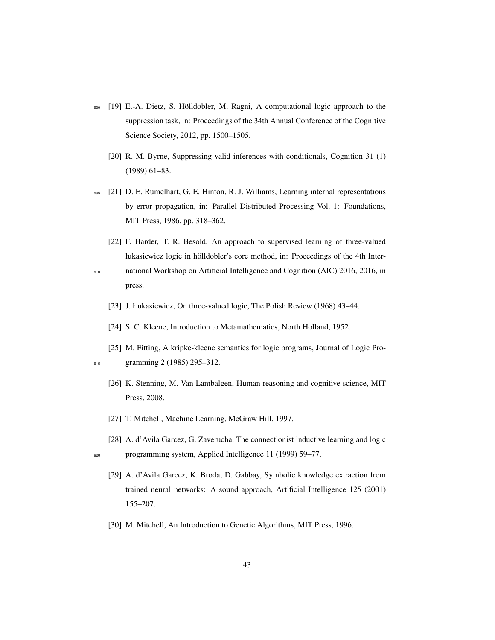- <span id="page-43-1"></span><span id="page-43-0"></span>900 [19] E.-A. Dietz, S. Hölldobler, M. Ragni, A computational logic approach to the suppression task, in: Proceedings of the 34th Annual Conference of the Cognitive Science Society, 2012, pp. 1500–1505.
	- [20] R. M. Byrne, Suppressing valid inferences with conditionals, Cognition 31 (1) (1989) 61–83.
- <span id="page-43-2"></span><sup>905</sup> [21] D. E. Rumelhart, G. E. Hinton, R. J. Williams, Learning internal representations by error propagation, in: Parallel Distributed Processing Vol. 1: Foundations, MIT Press, 1986, pp. 318–362.
- <span id="page-43-3"></span>[22] F. Harder, T. R. Besold, An approach to supervised learning of three-valued łukasiewicz logic in hölldobler's core method, in: Proceedings of the 4th Inter-<sup>910</sup> national Workshop on Artificial Intelligence and Cognition (AIC) 2016, 2016, in press.
	- [23] J. Łukasiewicz, On three-valued logic, The Polish Review (1968) 43-44.
	- [24] S. C. Kleene, Introduction to Metamathematics, North Holland, 1952.
- <span id="page-43-7"></span><span id="page-43-6"></span><span id="page-43-5"></span><span id="page-43-4"></span>[25] M. Fitting, A kripke-kleene semantics for logic programs, Journal of Logic Pro-915 gramming 2 (1985) 295–312.
	- [26] K. Stenning, M. Van Lambalgen, Human reasoning and cognitive science, MIT Press, 2008.
	- [27] T. Mitchell, Machine Learning, McGraw Hill, 1997.
	- [28] A. d'Avila Garcez, G. Zaverucha, The connectionist inductive learning and logic

<span id="page-43-9"></span><span id="page-43-8"></span><sup>920</sup> programming system, Applied Intelligence 11 (1999) 59–77.

- <span id="page-43-10"></span>[29] A. d'Avila Garcez, K. Broda, D. Gabbay, Symbolic knowledge extraction from trained neural networks: A sound approach, Artificial Intelligence 125 (2001) 155–207.
- <span id="page-43-11"></span>[30] M. Mitchell, An Introduction to Genetic Algorithms, MIT Press, 1996.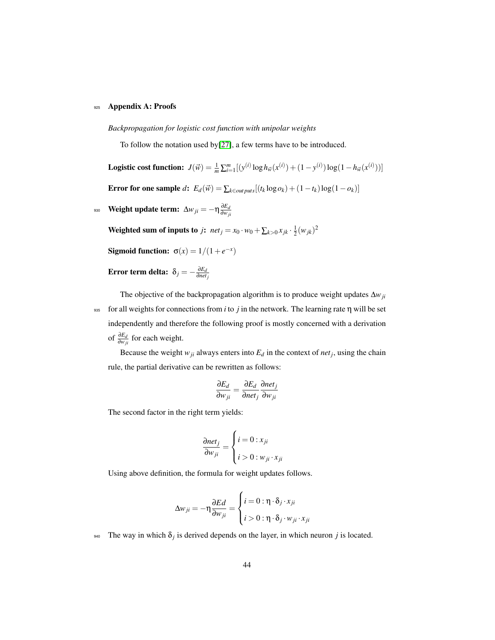## 925 Appendix A: Proofs

## *Backpropagation for logistic cost function with unipolar weights*

To follow the notation used by[\[27\]](#page-43-8), a few terms have to be introduced.

**Logistic cost function:**  $J(\vec{w}) = \frac{1}{m} \sum_{i=1}^{m} [(y^{(i)} \log h_{\vec{w}}(x^{(i)}) + (1 - y^{(i)}) \log (1 - h_{\vec{w}}(x^{(i)}))]$ Error for one sample  $d$ :  $E_d(\vec{w}) = \sum_{k \in \text{outputs}}[(t_k \log o_k) + (1 - t_k) \log(1 - o_k)]$ 

Weight update term:  $\Delta w_{ji} = -\eta \frac{\partial E_d}{\partial w_i}$ ∂*wji* 930

Weighted sum of inputs to *j*:  $net_j = x_0 \cdot w_0 + \sum_{k>0} x_{jk} \cdot \frac{1}{2} (w_{jk})^2$ 

**Sigmoid function:** 
$$
\sigma(x) = 1/(1 + e^{-x})
$$

#### **Error term delta:**  $\delta_j = -\frac{\partial E_d}{\partial net}$ ∂*netj*

The objective of the backpropagation algorithm is to produce weight updates ∆*wji* <sup>935</sup> for all weights for connections from *i* to *j* in the network. The learning rate η will be set independently and therefore the following proof is mostly concerned with a derivation of  $\frac{\partial E_d}{\partial w_{ji}}$  for each weight.

Because the weight  $w_{ji}$  always enters into  $E_d$  in the context of  $net_j$ , using the chain rule, the partial derivative can be rewritten as follows:

$$
\frac{\partial E_d}{\partial w_{ji}} = \frac{\partial E_d}{\partial net_j} \frac{\partial net_j}{\partial w_{ji}}
$$

The second factor in the right term yields:

$$
\frac{\partial net_j}{\partial w_{ji}} = \begin{cases} i = 0 : x_{ji} \\ i > 0 : w_{ji} \cdot x_{ji} \end{cases}
$$

Using above definition, the formula for weight updates follows.

$$
\Delta w_{ji} = -\eta \frac{\partial Ed}{\partial w_{ji}} = \begin{cases} i = 0 : \eta \cdot \delta_j \cdot x_{ji} \\ i > 0 : \eta \cdot \delta_j \cdot w_{ji} \cdot x_{ji} \end{cases}
$$

 $\frac{1}{940}$  The way in which  $\delta_j$  is derived depends on the layer, in which neuron *j* is located.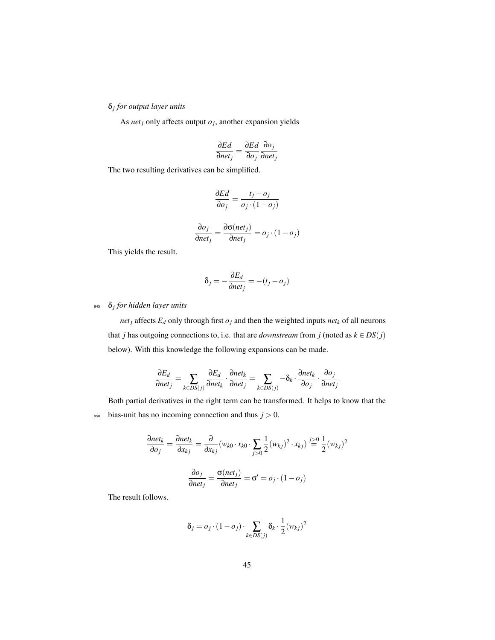δ*j for output layer units*

As *net*<sub>*j*</sub> only affects output  $o_j$ , another expansion yields

$$
\frac{\partial Ed}{\partial net_j} = \frac{\partial Ed}{\partial o_j} \frac{\partial o_j}{\partial net_j}
$$

The two resulting derivatives can be simplified.

$$
\frac{\partial Ed}{\partial o_j} = \frac{t_j - o_j}{o_j \cdot (1 - o_j)}
$$

$$
\frac{\partial o_j}{\partial net_j} = \frac{\partial \sigma(net_j)}{\partial net_j} = o_j \cdot (1 - o_j)
$$

This yields the result.

$$
\delta_j = -\frac{\partial E_d}{\partial net_j} = -(t_j - o_j)
$$

## δ*j* <sup>945</sup> *for hidden layer units*

*net*<sub>*j*</sub> affects  $E_d$  only through first  $o_j$  and then the weighted inputs  $net_k$  of all neurons that *j* has outgoing connections to, i.e. that are *downstream* from *j* (noted as  $k \in DS(j)$ below). With this knowledge the following expansions can be made.

$$
\frac{\partial E_d}{\partial net_j} = \sum_{k \in DS(j)} \frac{\partial E_d}{\partial net_k} \cdot \frac{\partial net_k}{\partial net_j} = \sum_{k \in DS(j)} -\delta_k \cdot \frac{\partial net_k}{\partial o_j} \cdot \frac{\partial o_j}{\partial net_j}
$$

Both partial derivatives in the right term can be transformed. It helps to know that the  $_{950}$  bias-unit has no incoming connection and thus  $j > 0$ .

$$
\frac{\partial net_k}{\partial o_j} = \frac{\partial net_k}{\partial x_{kj}} = \frac{\partial}{\partial x_{kj}} (w_{k0} \cdot x_{k0} \cdot \sum_{j>0} \frac{1}{2} (w_{kj})^2 \cdot x_{kj}) \stackrel{j \ge 0}{=} \frac{1}{2} (w_{kj})^2
$$

$$
\frac{\partial o_j}{\partial net_j} = \frac{\sigma(net_j)}{\partial net_j} = \sigma' = o_j \cdot (1 - o_j)
$$

The result follows.

$$
\delta_j = o_j \cdot (1 - o_j) \cdot \sum_{k \in DS(j)} \delta_k \cdot \frac{1}{2} (w_{kj})^2
$$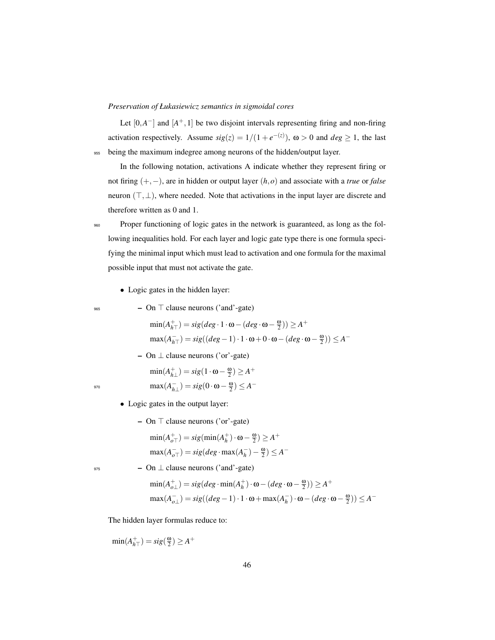*Preservation of Łukasiewicz semantics in sigmoidal cores*

Let  $[0, A^-]$  and  $[A^+, 1]$  be two disjoint intervals representing firing and non-firing activation respectively. Assume  $sig(z) = 1/(1 + e^{-z(z)})$ ,  $\omega > 0$  and  $deg \ge 1$ , the last <sup>955</sup> being the maximum indegree among neurons of the hidden/output layer.

In the following notation, activations A indicate whether they represent firing or not firing (+,−), are in hidden or output layer (*h*,*o*) and associate with a *true* or *false* neuron  $(\top, \bot)$ , where needed. Note that activations in the input layer are discrete and therefore written as 0 and 1.

960 Proper functioning of logic gates in the network is guaranteed, as long as the following inequalities hold. For each layer and logic gate type there is one formula specifying the minimal input which must lead to activation and one formula for the maximal possible input that must not activate the gate.

- Logic gates in the hidden layer:
- 
- $_{965}$  On  $\top$  clause neurons ('and'-gate)

$$
\begin{aligned} \min(A_{h\top}^+) &= sig(deg \cdot 1 \cdot \omega - (deg \cdot \omega - \frac{\omega}{2})) \ge A^+\\ \max(A_{h\top}^-) &= sig((deg - 1) \cdot 1 \cdot \omega + 0 \cdot \omega - (deg \cdot \omega - \frac{\omega}{2})) \le A^- \end{aligned}
$$

 $-$  On  $\perp$  clause neurons ('or'-gate)

$$
\min(A_{h\perp}^+) = sig(1 \cdot \omega - \frac{\omega}{2}) \ge A^+
$$

$$
\max(A_{h\perp}^-) = sig(0 \cdot \omega - \frac{\omega}{2}) \le A^-
$$

- 
- Logic gates in the output layer:
	- $-$  On  $\top$  clause neurons ('or'-gate)

$$
\min(A_{o\top}^+) = sig(\min(A_h^+) \cdot \omega - \frac{\omega}{2}) \ge A^+
$$

$$
\max(A_{o\top}^-) = sig(deg \cdot \max(A_h^-) - \frac{\omega}{2}) \le A^-
$$

 $975$  – On  $\perp$  clause neurons ('and'-gate)

$$
\begin{aligned} &\min(A_{o\perp}^+) = sig(deg \cdot \min(A_h^+) \cdot \omega - (deg \cdot \omega - \frac{\omega}{2})) \ge A^+\\ &\max(A_{o\perp}^-) = sig((deg - 1) \cdot 1 \cdot \omega + \max(A_h^-) \cdot \omega - (deg \cdot \omega - \frac{\omega}{2})) \le A^- \end{aligned}
$$

The hidden layer formulas reduce to:

 $\min(A_{h\top}^{+}) = sig(\frac{\omega}{2}) \ge A^{+}$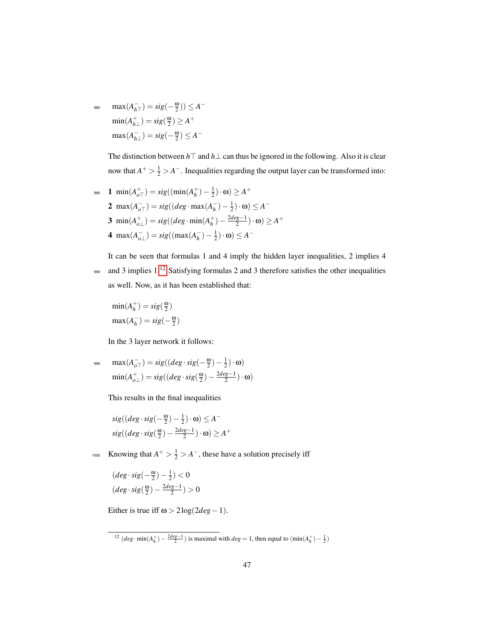980  $\max(A_{h\top}^-) = sig(-\frac{\omega}{2})) \leq A^{-1}$  $\min(A_{h\perp}^+) = sig(\frac{\omega}{2}) \ge A^+$  $max(A_{h\perp}^-) = sig(-\frac{\omega}{2}) \leq A^-$ 

> The distinction between  $h\top$  and  $h\bot$  can thus be ignored in the following. Also it is clear now that  $A^+ > \frac{1}{2} > A^-$ . Inequalities regarding the output layer can be transformed into:

985 **1** min
$$
(A_{oT}^+)
$$
 =  $sig((min(A_h^+) - \frac{1}{2}) \cdot \omega) \ge A^+$   
\n**2** max $(A_{oT}^-)$  =  $sig((deg \cdot max(A_h^-) - \frac{1}{2}) \cdot \omega) \le A^-$   
\n**3** min $(A_{oL}^+)$  =  $sig((deg \cdot min(A_h^+) - \frac{2deg-1}{2}) \cdot \omega) \ge A^+$   
\n**4** max $(A_{oL}^-)$  =  $sig((max(A_h^-) - \frac{1}{2}) \cdot \omega) \le A^-$ 

It can be seen that formulas 1 and 4 imply the hidden layer inequalities, 2 implies 4 990 and 3 implies 1.<sup>[12](#page-47-0)</sup> Satisfying formulas 2 and 3 therefore satisfies the other inequalities as well. Now, as it has been established that:

$$
\min(A_h^+) = sig(\frac{\omega}{2})
$$

$$
\max(A_h^-) = sig(-\frac{\omega}{2})
$$

In the 3 layer network it follows:

$$
\begin{aligned}\n\max(A_{o\top}^-) &= sig((deg \cdot sig(-\frac{\omega}{2}) - \frac{1}{2}) \cdot \omega) \\
\min(A_{o\bot}^+) &= sig((deg \cdot sig(\frac{\omega}{2}) - \frac{2deg-1}{2}) \cdot \omega)\n\end{aligned}
$$

This results in the final inequalities

$$
sig((deg \cdot sig(-\frac{\omega}{2}) - \frac{1}{2}) \cdot \omega) \le A^-
$$
  
\n
$$
sig((deg \cdot sig(\frac{\omega}{2}) - \frac{2deg-1}{2}) \cdot \omega) \ge A^+
$$

<sup>1000</sup> Knowing that  $A^+ > \frac{1}{2} > A^-$ , these have a solution precisely iff

$$
\begin{array}{l} (\deg \cdot \text{sig}(-\frac{\omega}{2})-\frac{1}{2})<0 \\ (deg \cdot \text{sig}(\frac{\omega}{2})-\frac{2deg-1}{2})>0 \end{array}
$$

Either is true iff  $\omega > 2 \log(2 deg - 1)$ .

<span id="page-47-0"></span><sup>&</sup>lt;sup>12</sup>  $(deg \cdot min(A_h^+) - \frac{2deg-1}{2})$  is maximal with  $deg = 1$ , then equal to  $(min(A_h^+) - \frac{1}{2})$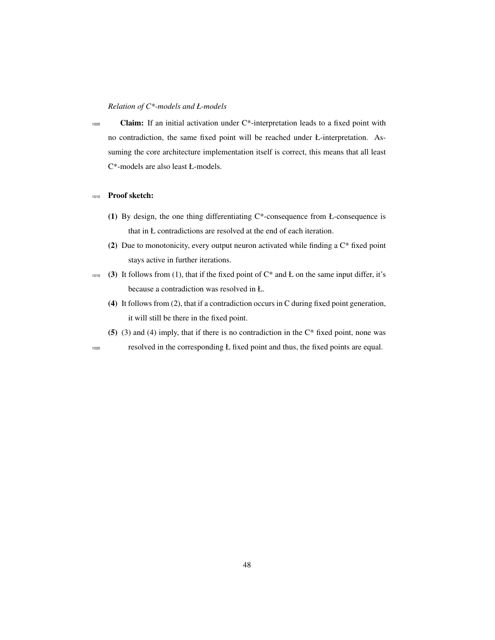## *Relation of C\*-models and Ł-models*

 $1005$  Claim: If an initial activation under C<sup>\*</sup>-interpretation leads to a fixed point with no contradiction, the same fixed point will be reached under Ł-interpretation. Assuming the core architecture implementation itself is correct, this means that all least C\*-models are also least Ł-models.

## <sup>1010</sup> Proof sketch:

- (1) By design, the one thing differentiating  $C^*$ -consequence from Ł-consequence is that in Ł contradictions are resolved at the end of each iteration.
- (2) Due to monotonicity, every output neuron activated while finding a C\* fixed point stays active in further iterations.
- 1015 (3) It follows from (1), that if the fixed point of  $C^*$  and Ł on the same input differ, it's because a contradiction was resolved in Ł.
	- (4) It follows from (2), that if a contradiction occurs in C during fixed point generation, it will still be there in the fixed point.
	- (5) (3) and (4) imply, that if there is no contradiction in the  $C^*$  fixed point, none was

<sup>1020</sup> resolved in the corresponding Ł fixed point and thus, the fixed points are equal.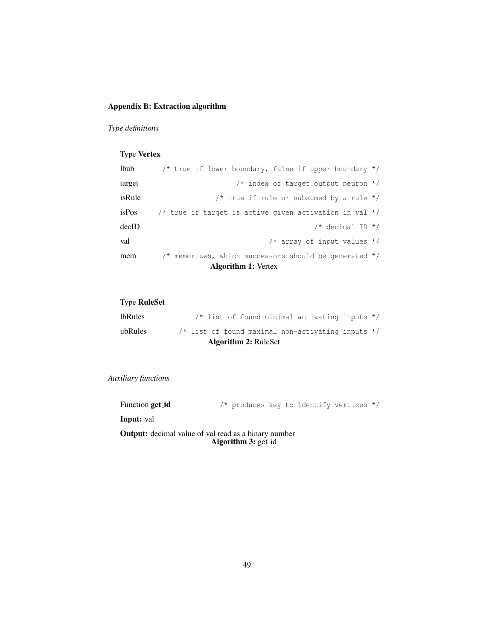## Appendix B: Extraction algorithm

*Type definitions*

# Type Vertex

| lbub                       | /* true if lower boundary, false if upper boundary */    |  |  |  |  |  |  |  |  |
|----------------------------|----------------------------------------------------------|--|--|--|--|--|--|--|--|
| target                     | $/*$ index of target output neuron $*/$                  |  |  |  |  |  |  |  |  |
| isRule                     | /* true if rule or subsumed by a rule $*/$               |  |  |  |  |  |  |  |  |
| isPos                      | /* true if target is active given activation in val $*/$ |  |  |  |  |  |  |  |  |
| decID                      | $/*$ decimal ID $*/$                                     |  |  |  |  |  |  |  |  |
| val                        | /* array of input values $*/$                            |  |  |  |  |  |  |  |  |
| mem                        | /* memorizes, which successors should be generated $*/$  |  |  |  |  |  |  |  |  |
| <b>Algorithm 1: Vertex</b> |                                                          |  |  |  |  |  |  |  |  |

# Type RuleSet

|         | <b>Algorithm 2: RuleSet</b>                           |  |
|---------|-------------------------------------------------------|--|
| ubRules | $/*$ list of found maximal non-activating inputs $*/$ |  |
| lbRules | /* list of found minimal activating inputs */         |  |

## *Auxiliary functions*

| Function get_id |  | /* produces key to identify vertices */ |  |  |  |  |  |
|-----------------|--|-----------------------------------------|--|--|--|--|--|
|-----------------|--|-----------------------------------------|--|--|--|--|--|

Input: val

Output: decimal value of val read as a binary number Algorithm 3: get\_id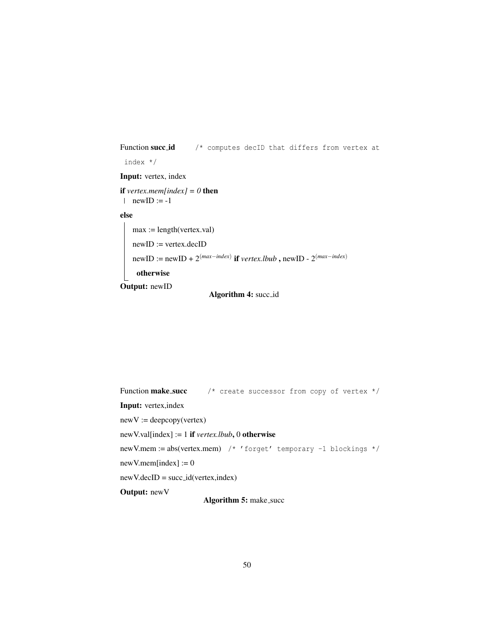```
Function succid /* computes decID that differs from vertex at
 index */
Input: vertex, index
if vertex.mem[index] = 0 then
\ln \text{ewID} := -1else
   max := length(vertex.val)
   newID := vertex.decID
    newID := newID + 2^{(max-index)} if vertex.lbub, newID - 2^{(max-index)}otherwise
Output: newID
```

```
Algorithm 4: succ id
```

```
Function make succ * /* create successor from copy of vertex */Input: vertex,index
newV := deepcopy(vertex)newV.val[index] := 1 if vertex.lbub, 0 otherwise
newV.mem := abs(vertex.mem) /* 'forget' temporary -1 blockings */
newV.mem/index] := 0newV.decID = succ_id(vertex, index)Output: newV
                      Algorithm 5: make_succ
```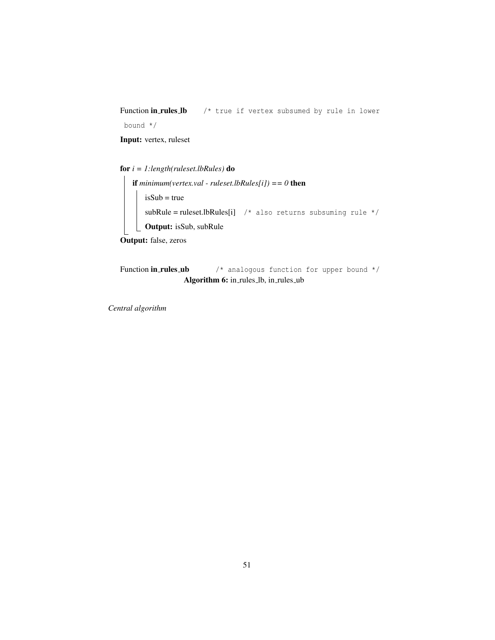Function in rules Ib /\* true if vertex subsumed by rule in lower

bound \*/

Input: vertex, ruleset

for *i = 1:length(ruleset.lbRules)* do

if *minimum(vertex.val - ruleset.lbRules[i]) == 0* then  $isSub = true$  $subRule = ruleset. lbRules[i]$  /\* also returns subsuming rule \*/ Output: isSub, subRule Output: false, zeros

Function in rules ub  $\prime$ \* analogous function for upper bound \*/ Algorithm 6: in\_rules\_lb, in\_rules\_ub

*Central algorithm*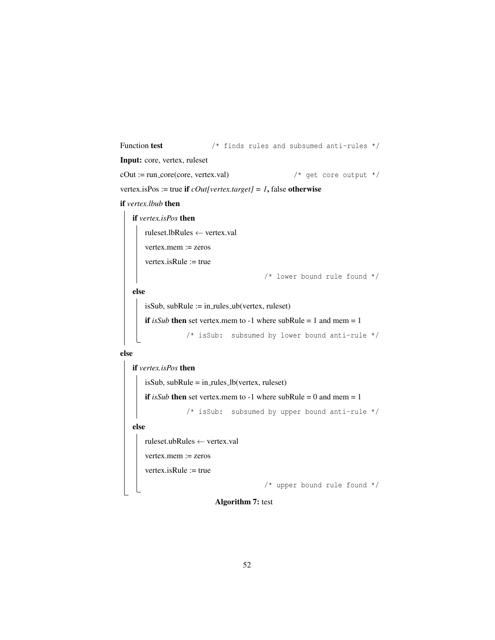```
Function test \frac{1}{x} finds rules and subsumed anti-rules */
Input: core, vertex, ruleset
cOut := run_core(core, vertex.val) \frac{1}{4} get core output \frac{\ast}{4}vertex.isPos := true if \text{cOut}[\text{vertex}.target] = 1, false otherwise
if vertex.lbub then
   if vertex.isPos then
       ruleset.lbRules ← vertex.val
       vertex.mem := zeros
       vertex.isRule := true
                                           /* lower bound rule found */
```
else

```
isSub, subRule := in_rules_ub(vertex, ruleset)
```

```
if isSub then set vertex.mem to -1 where subRule = 1 and mem = 1
```

```
/* isSub: subsumed by lower bound anti-rule */
```
else

```
if vertex.isPos then
   isSub, subRule = in-rules_lb(vertex, ruleset)
   if isSub then set vertex.mem to -1 where subRule = 0 and mem = 1
               /* isSub: subsumed by upper bound anti-rule */
else
   ruleset.ubRules ← vertex.val
   vertex.mem := zeros
   vertex.isRule := true
                                     /* upper bound rule found */
```
## Algorithm 7: test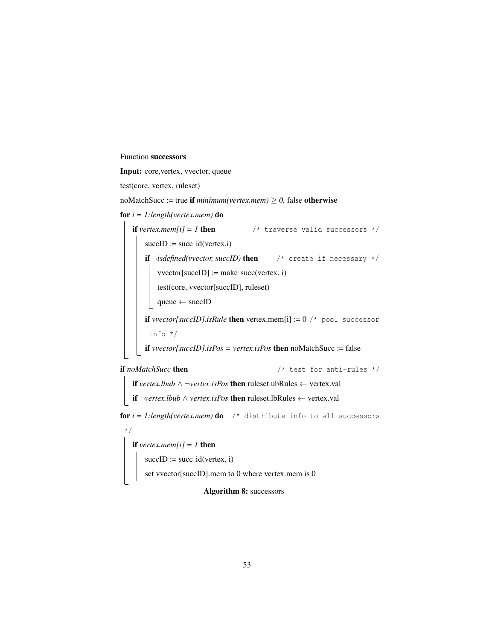## Function successors

Input: core,vertex, vvector, queue

test(core, vertex, ruleset)

noMatchSucc := true if  $minimum(vertex.mem) \ge 0$ , false otherwise

for *i = 1:length(vertex.mem)* do

**if** *vertex.mem[i]* = *1* **then**  $\frac{1}{x}$  traverse valid successors  $\frac{x}{x}$  $succID := succ_id(vertex,i)$ if  $\neg\mathit{isdefined}(vector, succID)$  then  $\neg\mathit{``}$  create if necessary  $\neg\mathit{''}$  $vvector[succID] := make\_succ(vortex, i)$ test(core, vvector[succID], ruleset) queue ← succID if *vvector[succID].isRule* then vertex.mem[i]  $:= 0$  /\* pool successor info \*/ if *vvector[succID].isPos = vertex.isPos* then noMatchSucc := false if *noMatchSucc* then  $\frac{1}{2}$  /\* test for anti-rules \*/ if *vertex.lbub* ∧ ¬*vertex.isPos* then ruleset.ubRules ← vertex.val

```
if ¬vertex.lbub ∧ vertex.isPos then ruleset.lbRules ← vertex.val
```
**for**  $i = 1$ : length(vertex.mem) **do** /\* distribute info to all successors

\*/ if *vertex.mem[i]* =  $1$  then  $succID := succ_id(vertex, i)$ set vvector[succID].mem to 0 where vertex.mem is 0

## Algorithm 8: successors